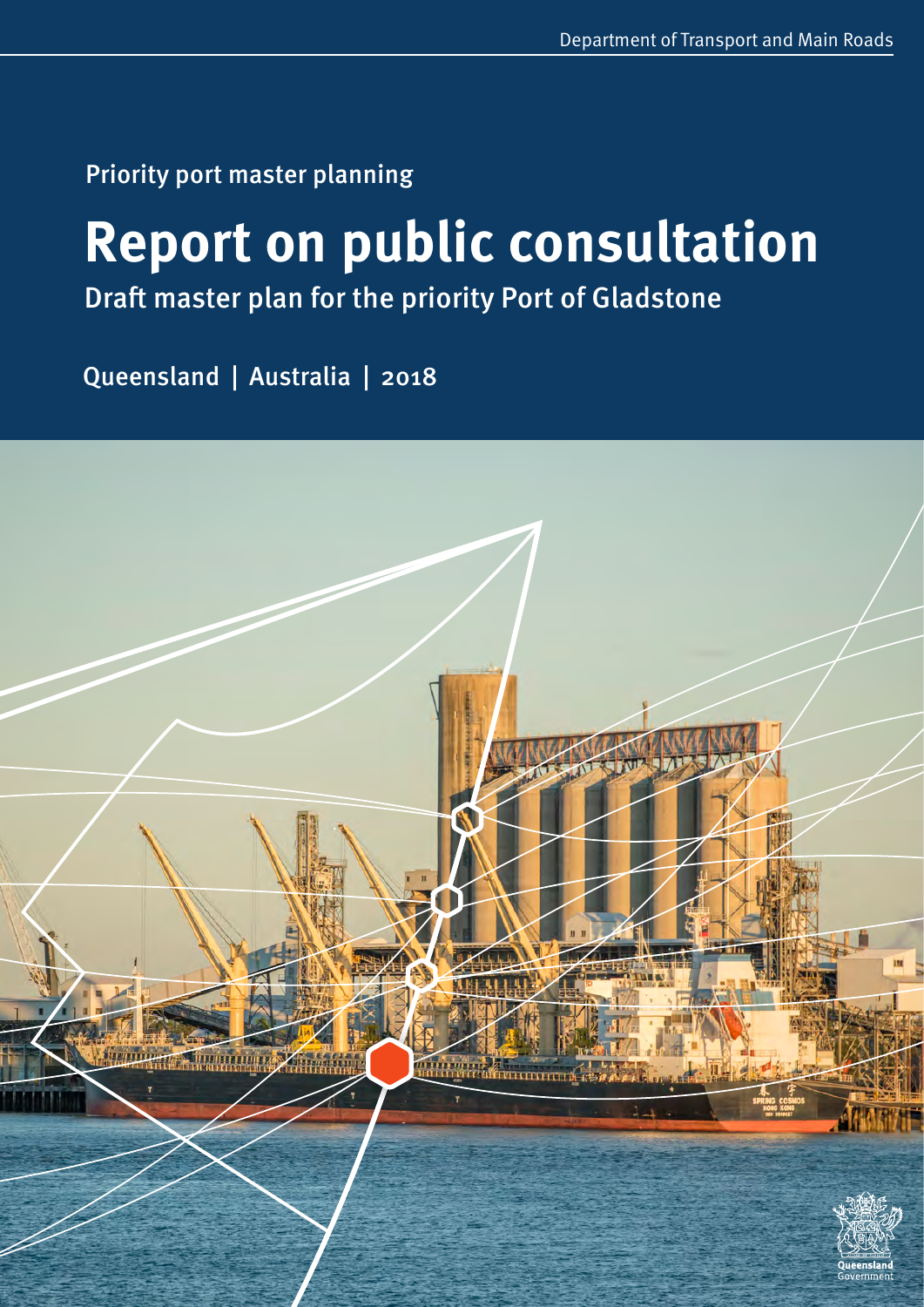Priority port master planning

# **Report on public consultation**

Draft master plan for the priority Port of Gladstone

Queensland | Australia | 2018

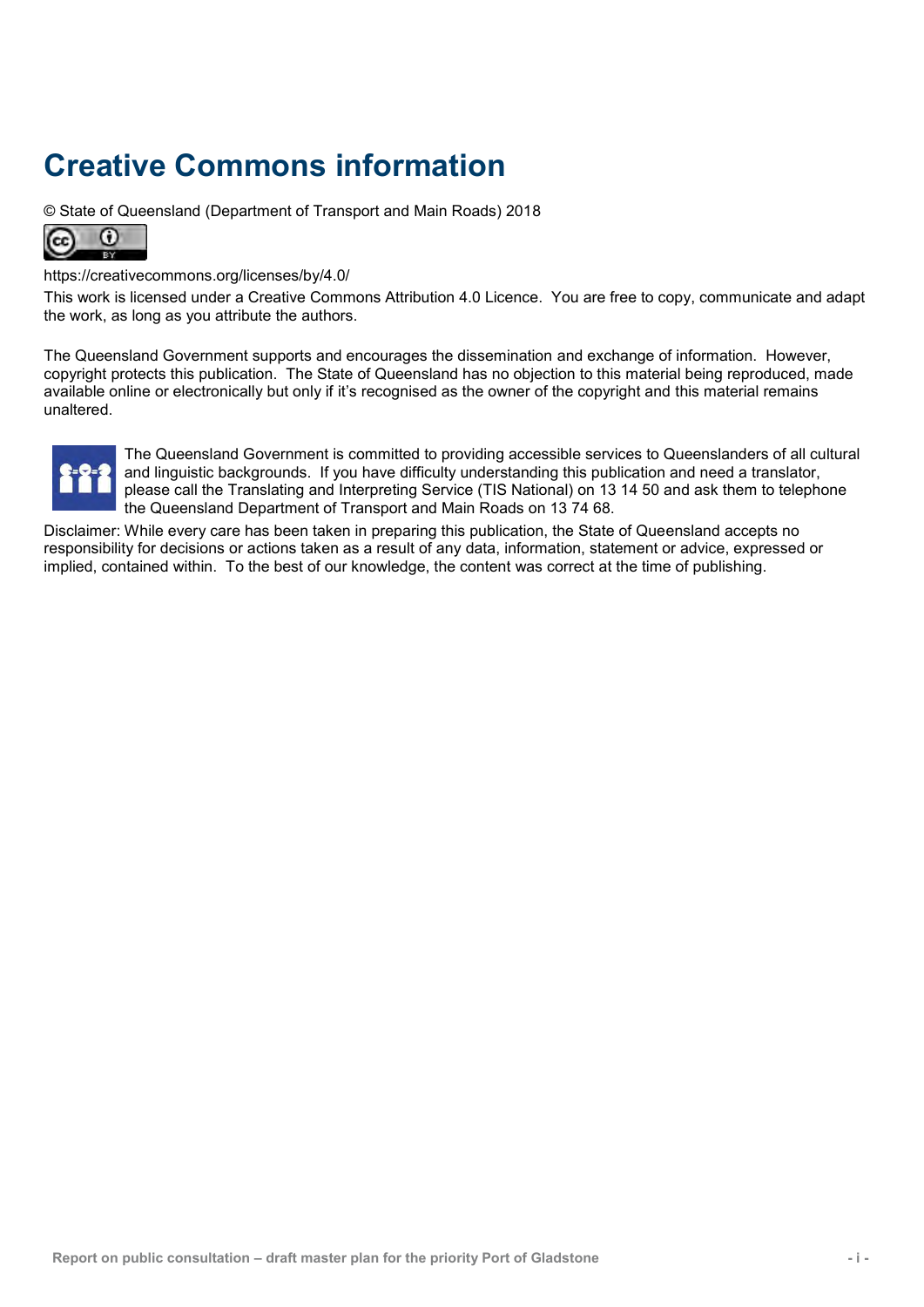## **Creative Commons information**

© State of Queensland (Department of Transport and Main Roads) 2018



https://creativecommons.org/licenses/by/4.0/

This work is licensed under a Creative Commons Attribution 4.0 Licence. You are free to copy, communicate and adapt the work, as long as you attribute the authors.

The Queensland Government supports and encourages the dissemination and exchange of information. However, copyright protects this publication. The State of Queensland has no objection to this material being reproduced, made available online or electronically but only if it's recognised as the owner of the copyright and this material remains unaltered.



The Queensland Government is committed to providing accessible services to Queenslanders of all cultural and linguistic backgrounds. If you have difficulty understanding this publication and need a translator, please call the Translating and Interpreting Service (TIS National) on 13 14 50 and ask them to telephone the Queensland Department of Transport and Main Roads on 13 74 68.

Disclaimer: While every care has been taken in preparing this publication, the State of Queensland accepts no responsibility for decisions or actions taken as a result of any data, information, statement or advice, expressed or implied, contained within. To the best of our knowledge, the content was correct at the time of publishing.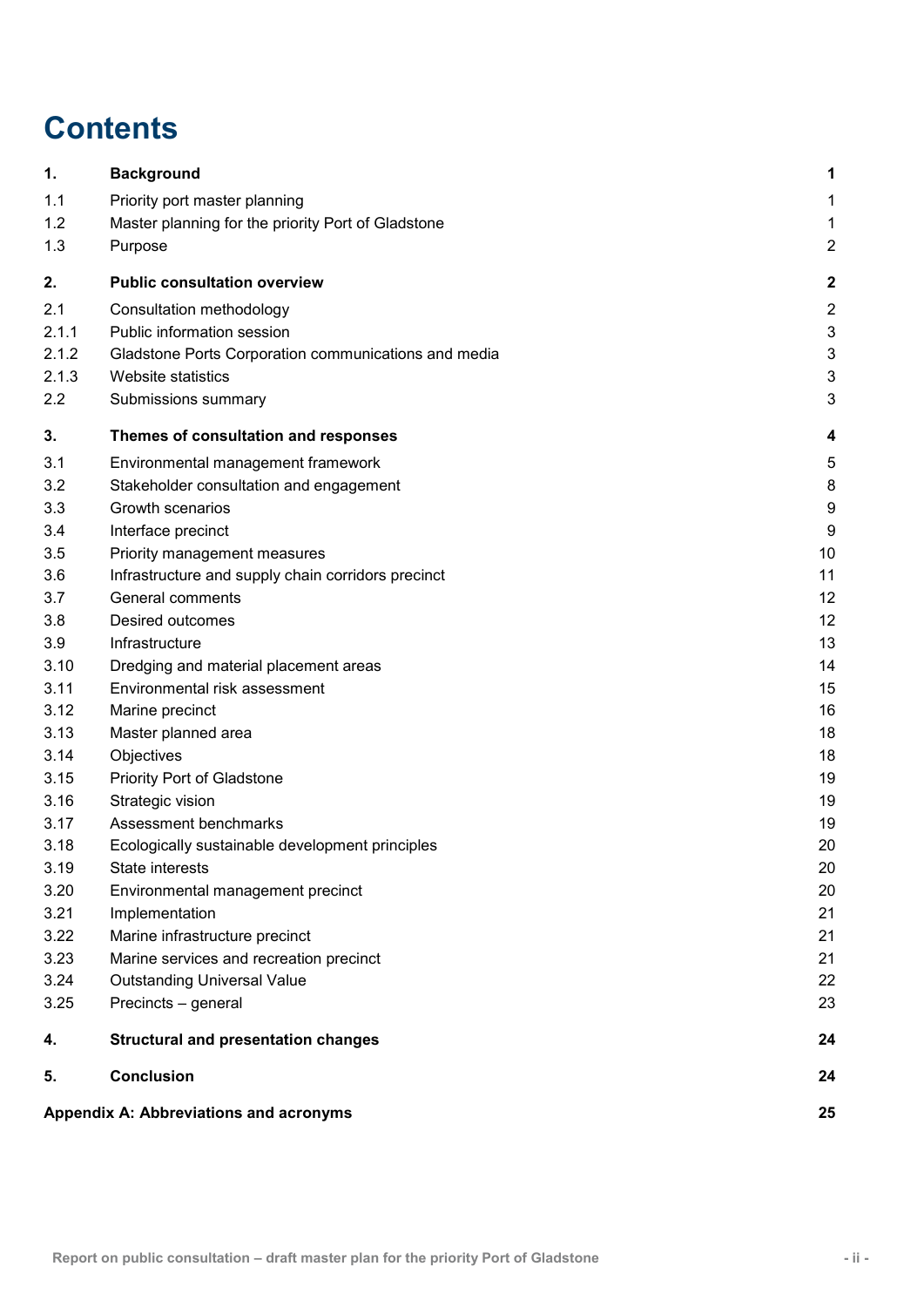## **Contents**

| 1.    | <b>Background</b>                                    | 1                       |  |
|-------|------------------------------------------------------|-------------------------|--|
| 1.1   | Priority port master planning                        | 1                       |  |
| 1.2   | Master planning for the priority Port of Gladstone   | 1                       |  |
| 1.3   | Purpose                                              | $\overline{c}$          |  |
| 2.    | <b>Public consultation overview</b>                  | $\overline{\mathbf{c}}$ |  |
| 2.1   | Consultation methodology                             | $\overline{\mathbf{c}}$ |  |
| 2.1.1 | Public information session                           | 3                       |  |
| 2.1.2 | Gladstone Ports Corporation communications and media | 3                       |  |
| 2.1.3 | Website statistics                                   | 3                       |  |
| 2.2   | Submissions summary                                  | 3                       |  |
| 3.    | Themes of consultation and responses                 | 4                       |  |
| 3.1   | Environmental management framework                   | 5                       |  |
| 3.2   | Stakeholder consultation and engagement              | 8                       |  |
| 3.3   | Growth scenarios                                     | 9                       |  |
| 3.4   | Interface precinct                                   | 9                       |  |
| 3.5   | Priority management measures                         | 10                      |  |
| 3.6   | Infrastructure and supply chain corridors precinct   | 11                      |  |
| 3.7   | General comments                                     | 12                      |  |
| 3.8   | Desired outcomes                                     | 12                      |  |
| 3.9   | Infrastructure                                       | 13                      |  |
| 3.10  | Dredging and material placement areas                | 14                      |  |
| 3.11  | Environmental risk assessment                        | 15                      |  |
| 3.12  | Marine precinct                                      | 16                      |  |
| 3.13  | Master planned area                                  | 18                      |  |
| 3.14  | Objectives                                           | 18                      |  |
| 3.15  | Priority Port of Gladstone                           | 19                      |  |
| 3.16  | Strategic vision                                     | 19                      |  |
| 3.17  | Assessment benchmarks                                | 19                      |  |
| 3.18  | Ecologically sustainable development principles      | 20                      |  |
| 3.19  | State interests                                      | 20                      |  |
| 3.20  | Environmental management precinct                    | 20                      |  |
| 3.21  | Implementation                                       | 21                      |  |
| 3.22  | Marine infrastructure precinct                       | 21                      |  |
| 3.23  | Marine services and recreation precinct              | 21                      |  |
| 3.24  | <b>Outstanding Universal Value</b>                   | 22                      |  |
| 3.25  | Precincts - general                                  | 23                      |  |
| 4.    | <b>Structural and presentation changes</b>           | 24                      |  |
| 5.    | <b>Conclusion</b>                                    | 24                      |  |
|       | Appendix A: Abbreviations and acronyms<br>25         |                         |  |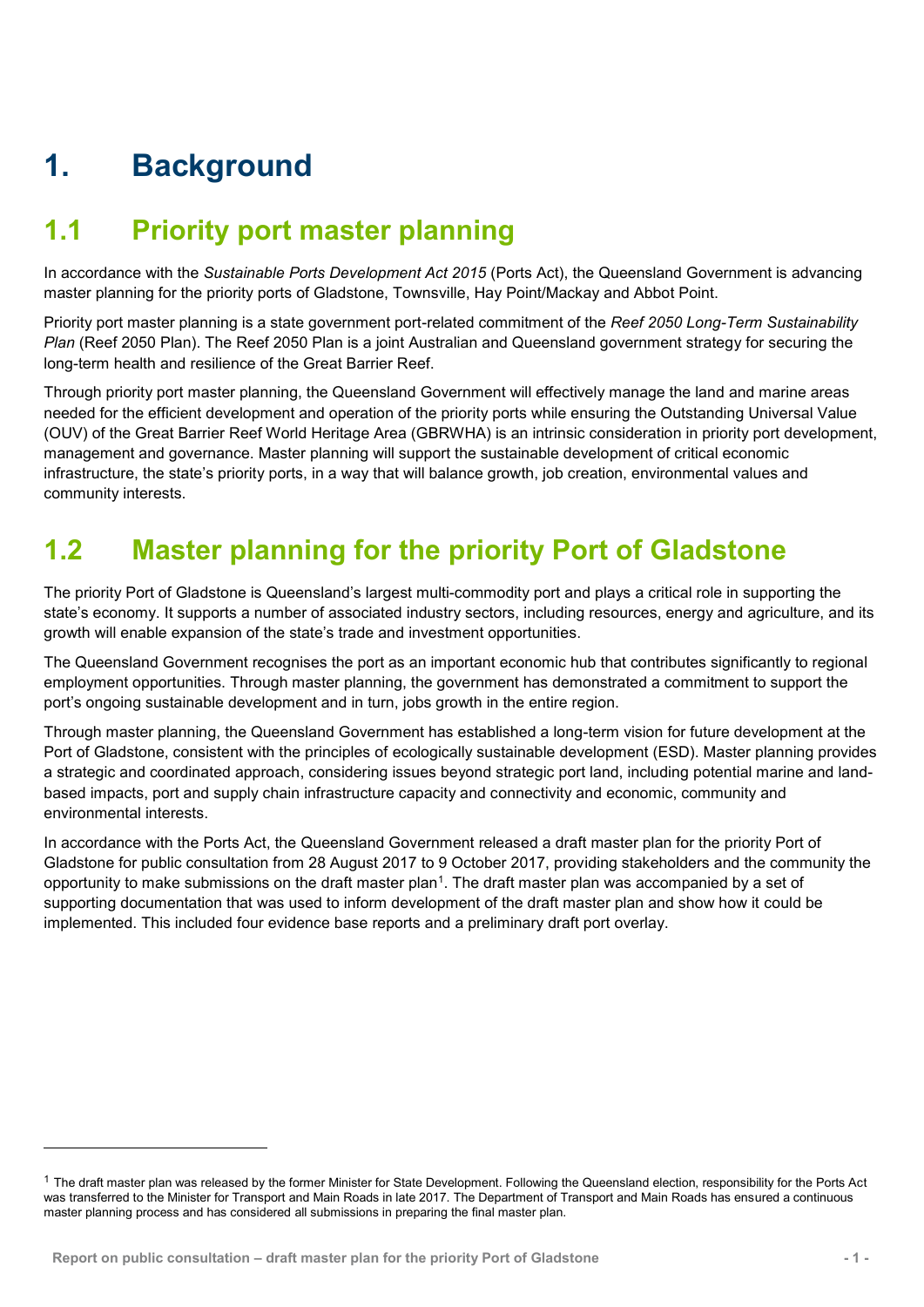## <span id="page-3-0"></span>**1. Background**

## <span id="page-3-1"></span>**1.1 Priority port master planning**

In accordance with the *Sustainable Ports Development Act 2015* (Ports Act), the Queensland Government is advancing master planning for the priority ports of Gladstone, Townsville, Hay Point/Mackay and Abbot Point.

Priority port master planning is a state government port-related commitment of the *Reef 2050 Long-Term Sustainability Plan* (Reef 2050 Plan). The Reef 2050 Plan is a joint Australian and Queensland government strategy for securing the long-term health and resilience of the Great Barrier Reef.

Through priority port master planning, the Queensland Government will effectively manage the land and marine areas needed for the efficient development and operation of the priority ports while ensuring the Outstanding Universal Value (OUV) of the Great Barrier Reef World Heritage Area (GBRWHA) is an intrinsic consideration in priority port development, management and governance. Master planning will support the sustainable development of critical economic infrastructure, the state's priority ports, in a way that will balance growth, job creation, environmental values and community interests.

## <span id="page-3-2"></span>**1.2 Master planning for the priority Port of Gladstone**

The priority Port of Gladstone is Queensland's largest multi-commodity port and plays a critical role in supporting the state's economy. It supports a number of associated industry sectors, including resources, energy and agriculture, and its growth will enable expansion of the state's trade and investment opportunities.

The Queensland Government recognises the port as an important economic hub that contributes significantly to regional employment opportunities. Through master planning, the government has demonstrated a commitment to support the port's ongoing sustainable development and in turn, jobs growth in the entire region.

Through master planning, the Queensland Government has established a long-term vision for future development at the Port of Gladstone, consistent with the principles of ecologically sustainable development (ESD). Master planning provides a strategic and coordinated approach, considering issues beyond strategic port land, including potential marine and landbased impacts, port and supply chain infrastructure capacity and connectivity and economic, community and environmental interests.

In accordance with the Ports Act, the Queensland Government released a draft master plan for the priority Port of Gladstone for public consultation from 28 August 2017 to 9 October 2017, providing stakeholders and the community the opportunity to make submissions on the draft master plan1. The draft master plan was accompanied by a set of supporting documentation that was used to inform development of the draft master plan and show how it could be implemented. This included four evidence base reports and a preliminary draft port overlay.

<sup>&</sup>lt;sup>1</sup> The draft master plan was released by the former Minister for State Development. Following the Queensland election, responsibility for the Ports Act was transferred to the Minister for Transport and Main Roads in late 2017. The Department of Transport and Main Roads has ensured a continuous master planning process and has considered all submissions in preparing the final master plan.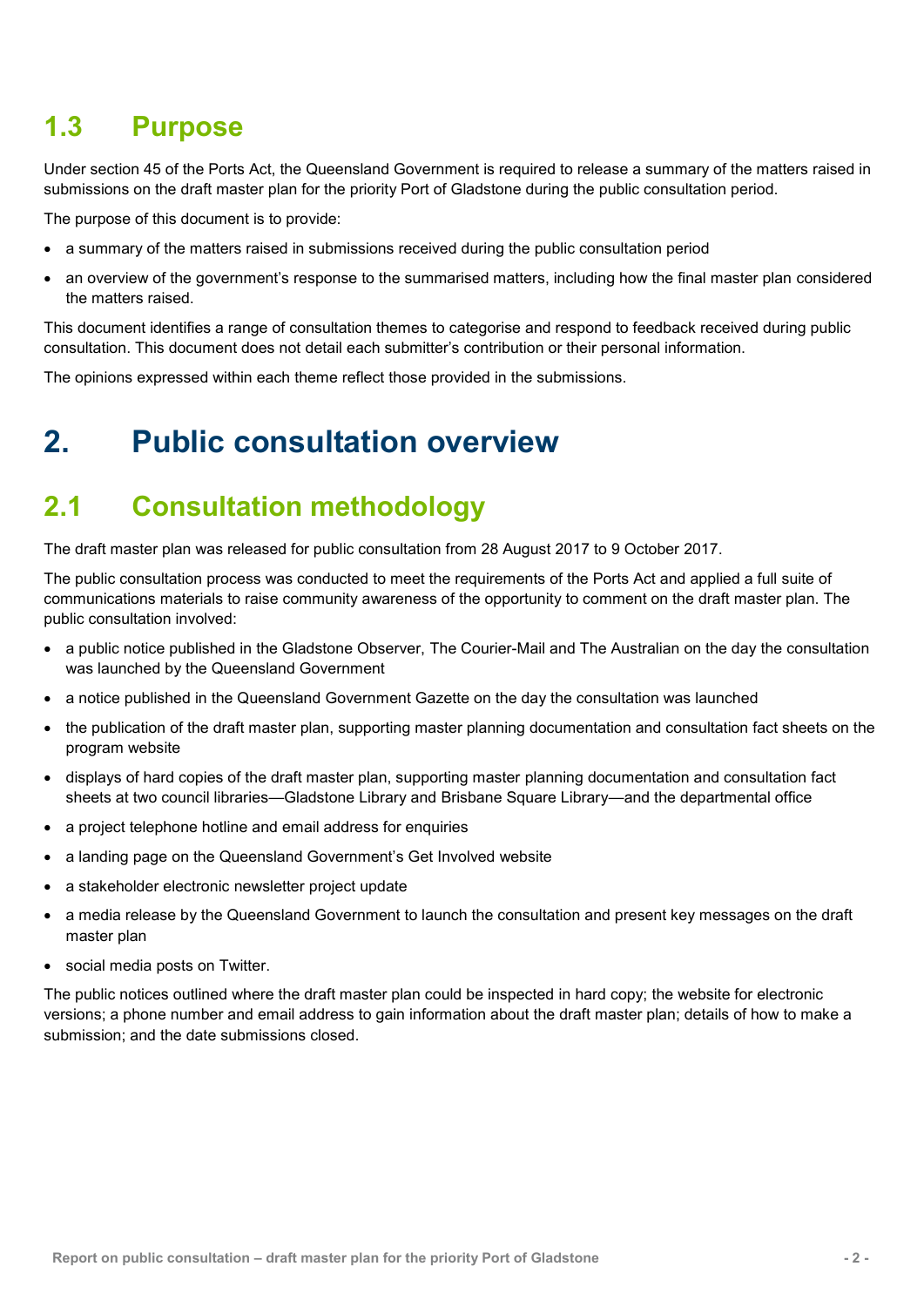### <span id="page-4-0"></span>**1.3 Purpose**

Under section 45 of the Ports Act, the Queensland Government is required to release a summary of the matters raised in submissions on the draft master plan for the priority Port of Gladstone during the public consultation period.

The purpose of this document is to provide:

- a summary of the matters raised in submissions received during the public consultation period
- an overview of the government's response to the summarised matters, including how the final master plan considered the matters raised.

This document identifies a range of consultation themes to categorise and respond to feedback received during public consultation. This document does not detail each submitter's contribution or their personal information.

<span id="page-4-1"></span>The opinions expressed within each theme reflect those provided in the submissions.

## **2. Public consultation overview**

### <span id="page-4-2"></span>**2.1 Consultation methodology**

The draft master plan was released for public consultation from 28 August 2017 to 9 October 2017.

The public consultation process was conducted to meet the requirements of the Ports Act and applied a full suite of communications materials to raise community awareness of the opportunity to comment on the draft master plan. The public consultation involved:

- a public notice published in the Gladstone Observer, The Courier-Mail and The Australian on the day the consultation was launched by the Queensland Government
- a notice published in the Queensland Government Gazette on the day the consultation was launched
- the publication of the draft master plan, supporting master planning documentation and consultation fact sheets on the program website
- displays of hard copies of the draft master plan, supporting master planning documentation and consultation fact sheets at two council libraries—Gladstone Library and Brisbane Square Library—and the departmental office
- a project telephone hotline and email address for enquiries
- a landing page on the Queensland Government's Get Involved website
- a stakeholder electronic newsletter project update
- a media release by the Queensland Government to launch the consultation and present key messages on the draft master plan
- social media posts on Twitter.

The public notices outlined where the draft master plan could be inspected in hard copy; the website for electronic versions; a phone number and email address to gain information about the draft master plan; details of how to make a submission; and the date submissions closed.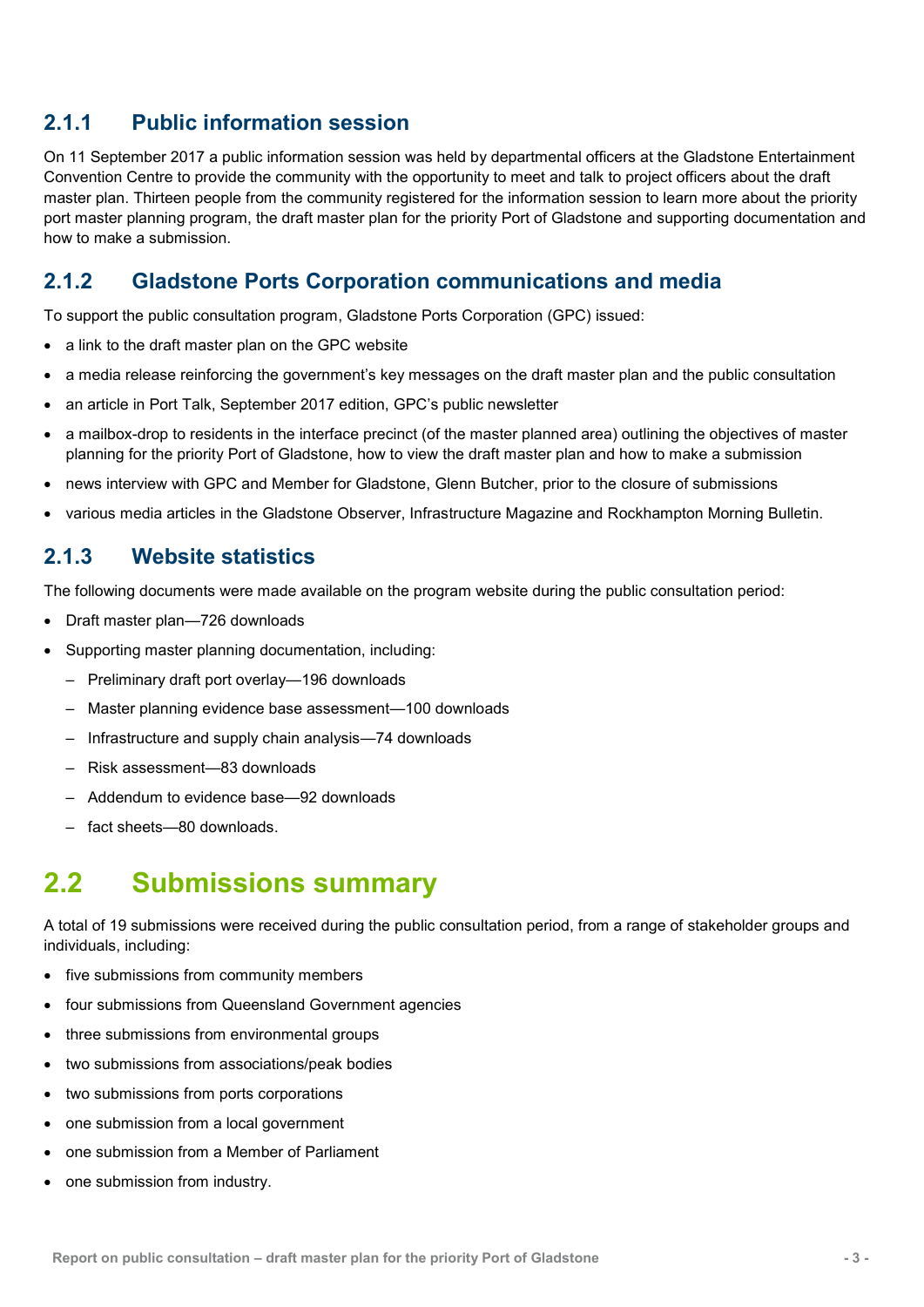### <span id="page-5-0"></span>**2.1.1 Public information session**

On 11 September 2017 a public information session was held by departmental officers at the Gladstone Entertainment Convention Centre to provide the community with the opportunity to meet and talk to project officers about the draft master plan. Thirteen people from the community registered for the information session to learn more about the priority port master planning program, the draft master plan for the priority Port of Gladstone and supporting documentation and how to make a submission.

### <span id="page-5-1"></span>**2.1.2 Gladstone Ports Corporation communications and media**

To support the public consultation program, Gladstone Ports Corporation (GPC) issued:

- a link to the draft master plan on the GPC website
- a media release reinforcing the government's key messages on the draft master plan and the public consultation
- an article in Port Talk, September 2017 edition, GPC's public newsletter
- a mailbox-drop to residents in the interface precinct (of the master planned area) outlining the objectives of master planning for the priority Port of Gladstone, how to view the draft master plan and how to make a submission
- news interview with GPC and Member for Gladstone, Glenn Butcher, prior to the closure of submissions
- various media articles in the Gladstone Observer, Infrastructure Magazine and Rockhampton Morning Bulletin.

### <span id="page-5-2"></span>**2.1.3 Website statistics**

The following documents were made available on the program website during the public consultation period:

- Draft master plan—726 downloads
- Supporting master planning documentation, including:
	- Preliminary draft port overlay—196 downloads
	- Master planning evidence base assessment—100 downloads
	- Infrastructure and supply chain analysis—74 downloads
	- Risk assessment—83 downloads
	- Addendum to evidence base—92 downloads
	- fact sheets—80 downloads.

### <span id="page-5-3"></span>**2.2 Submissions summary**

A total of 19 submissions were received during the public consultation period, from a range of stakeholder groups and individuals, including:

- five submissions from community members
- four submissions from Queensland Government agencies
- three submissions from environmental groups
- two submissions from associations/peak bodies
- two submissions from ports corporations
- one submission from a local government
- one submission from a Member of Parliament
- one submission from industry.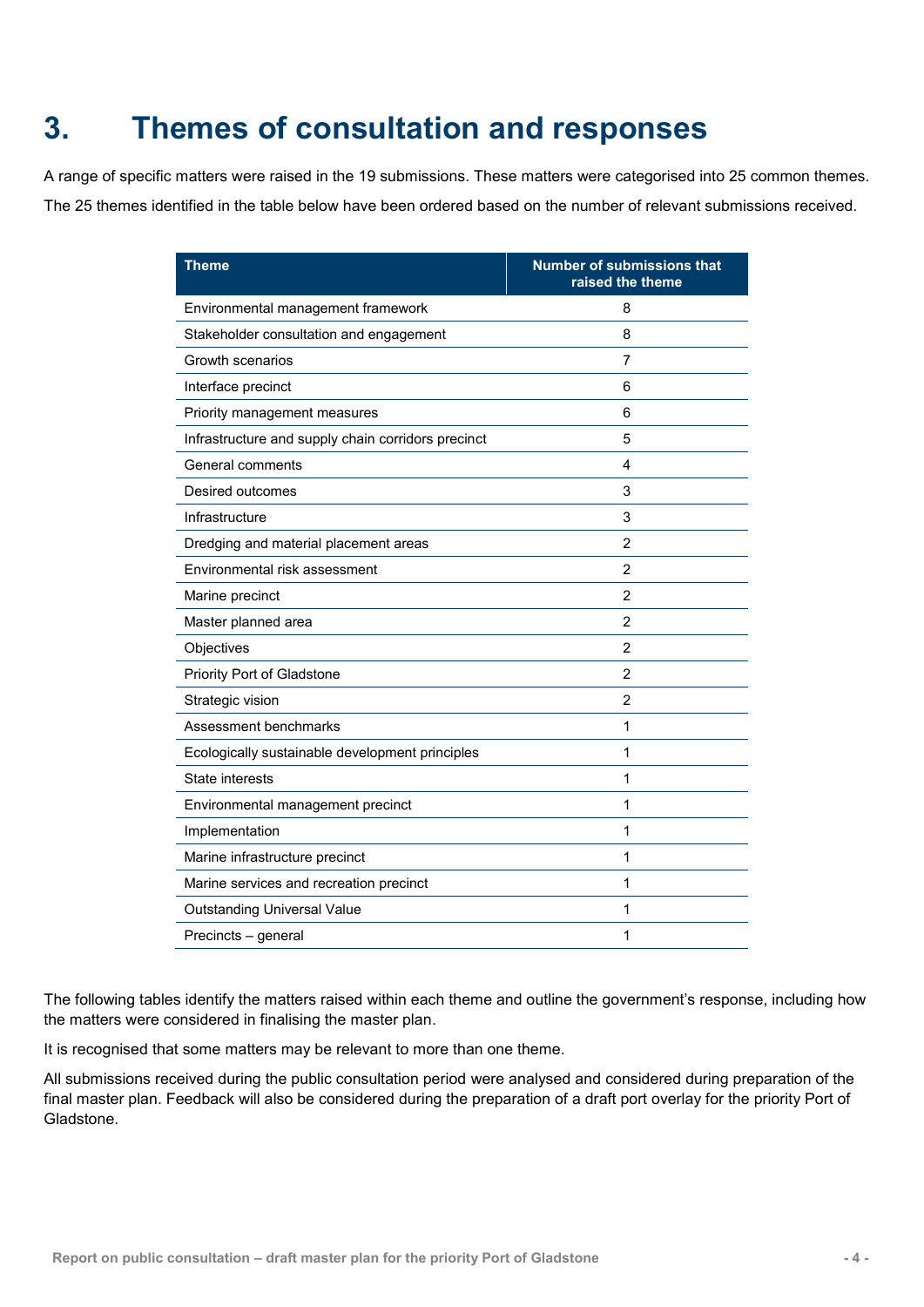## <span id="page-6-0"></span>**3. Themes of consultation and responses**

A range of specific matters were raised in the 19 submissions. These matters were categorised into 25 common themes. The 25 themes identified in the table below have been ordered based on the number of relevant submissions received.

| <b>Theme</b>                                       | <b>Number of submissions that</b><br>raised the theme |
|----------------------------------------------------|-------------------------------------------------------|
| Environmental management framework                 | 8                                                     |
| Stakeholder consultation and engagement            | 8                                                     |
| Growth scenarios                                   | 7                                                     |
| Interface precinct                                 | 6                                                     |
| Priority management measures                       | 6                                                     |
| Infrastructure and supply chain corridors precinct | 5                                                     |
| General comments                                   | 4                                                     |
| Desired outcomes                                   | 3                                                     |
| Infrastructure                                     | 3                                                     |
| Dredging and material placement areas              | 2                                                     |
| Environmental risk assessment                      | 2                                                     |
| Marine precinct                                    | $\overline{2}$                                        |
| Master planned area                                | $\overline{2}$                                        |
| Objectives                                         | $\overline{2}$                                        |
| Priority Port of Gladstone                         | 2                                                     |
| Strategic vision                                   | 2                                                     |
| Assessment benchmarks                              | 1                                                     |
| Ecologically sustainable development principles    | 1                                                     |
| State interests                                    | 1                                                     |
| Environmental management precinct                  | 1                                                     |
| Implementation                                     | 1                                                     |
| Marine infrastructure precinct                     | 1                                                     |
| Marine services and recreation precinct            | 1                                                     |
| <b>Outstanding Universal Value</b>                 | 1                                                     |
| Precincts - general                                | 1                                                     |

The following tables identify the matters raised within each theme and outline the government's response, including how the matters were considered in finalising the master plan.

It is recognised that some matters may be relevant to more than one theme.

All submissions received during the public consultation period were analysed and considered during preparation of the final master plan. Feedback will also be considered during the preparation of a draft port overlay for the priority Port of Gladstone.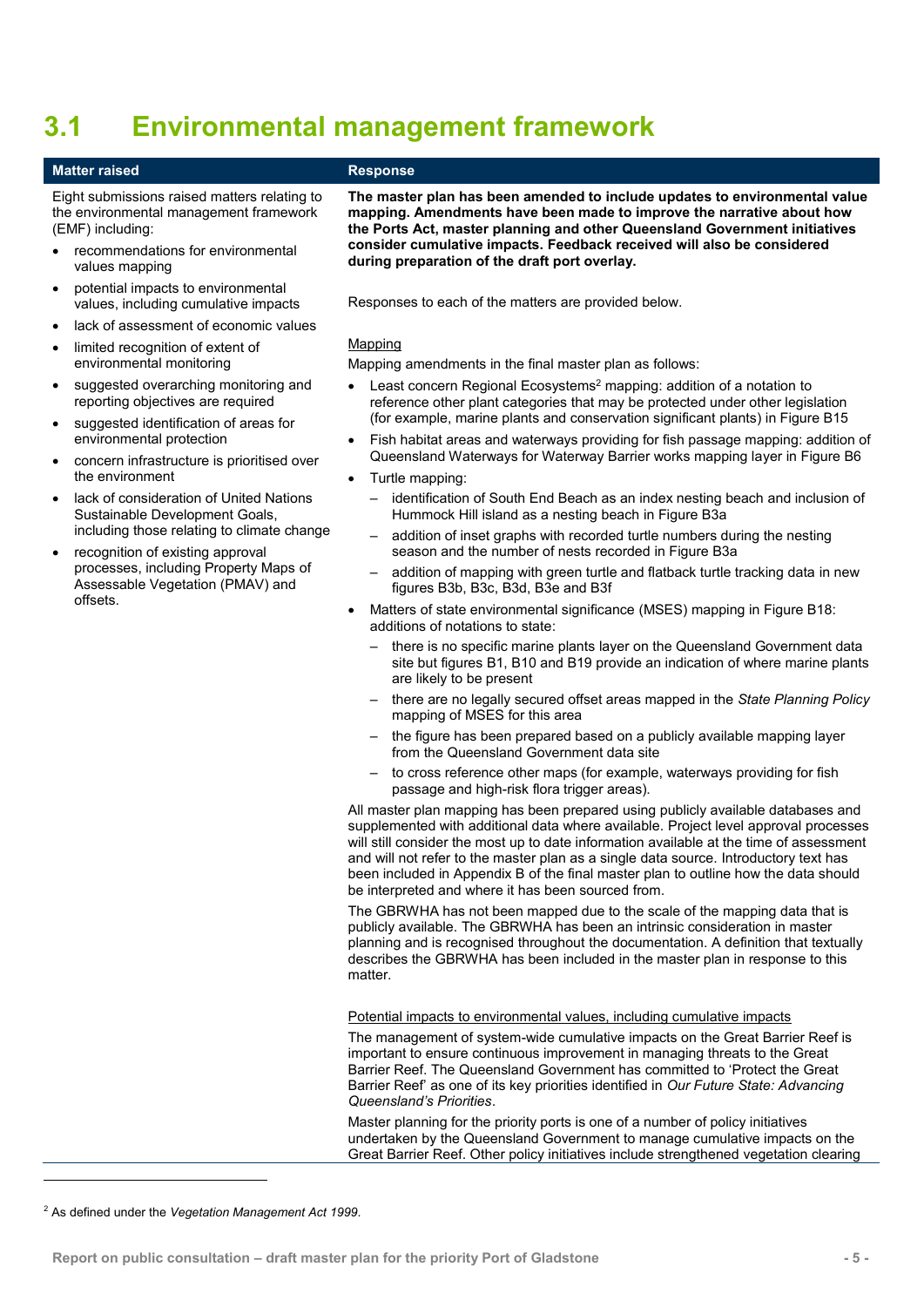### <span id="page-7-0"></span>**3.1 Environmental management framework**

#### **Matter raised Response**

Eight submissions raised matters relating to the environmental management framework (EMF) including:

- recommendations for environmental values mapping
- potential impacts to environmental values, including cumulative impacts
- lack of assessment of economic values
- limited recognition of extent of environmental monitoring
- suggested overarching monitoring and reporting objectives are required
- suggested identification of areas for environmental protection
- concern infrastructure is prioritised over the environment
- lack of consideration of United Nations Sustainable Development Goals, including those relating to climate change
- recognition of existing approval processes, including Property Maps of Assessable Vegetation (PMAV) and offsets.

**The master plan has been amended to include updates to environmental value mapping. Amendments have been made to improve the narrative about how the Ports Act, master planning and other Queensland Government initiatives consider cumulative impacts. Feedback received will also be considered during preparation of the draft port overlay.**

Responses to each of the matters are provided below.

#### Mapping

Mapping amendments in the final master plan as follows:

- Least concern Regional Ecosystems<sup>2</sup> mapping: addition of a notation to reference other plant categories that may be protected under other legislation (for example, marine plants and conservation significant plants) in Figure B15
- Fish habitat areas and waterways providing for fish passage mapping: addition of Queensland Waterways for Waterway Barrier works mapping layer in Figure B6
- Turtle mapping:
	- identification of South End Beach as an index nesting beach and inclusion of Hummock Hill island as a nesting beach in Figure B3a
	- addition of inset graphs with recorded turtle numbers during the nesting season and the number of nests recorded in Figure B3a
	- addition of mapping with green turtle and flatback turtle tracking data in new figures B3b, B3c, B3d, B3e and B3f
- Matters of state environmental significance (MSES) mapping in Figure B18: additions of notations to state:
	- there is no specific marine plants layer on the Queensland Government data site but figures B1, B10 and B19 provide an indication of where marine plants are likely to be present
	- there are no legally secured offset areas mapped in the *State Planning Policy* mapping of MSES for this area
	- the figure has been prepared based on a publicly available mapping layer from the Queensland Government data site
	- to cross reference other maps (for example, waterways providing for fish passage and high-risk flora trigger areas).

All master plan mapping has been prepared using publicly available databases and supplemented with additional data where available. Project level approval processes will still consider the most up to date information available at the time of assessment and will not refer to the master plan as a single data source. Introductory text has been included in Appendix B of the final master plan to outline how the data should be interpreted and where it has been sourced from.

The GBRWHA has not been mapped due to the scale of the mapping data that is publicly available. The GBRWHA has been an intrinsic consideration in master planning and is recognised throughout the documentation. A definition that textually describes the GBRWHA has been included in the master plan in response to this matter.

Potential impacts to environmental values, including cumulative impacts

The management of system-wide cumulative impacts on the Great Barrier Reef is important to ensure continuous improvement in managing threats to the Great Barrier Reef. The Queensland Government has committed to 'Protect the Great Barrier Reef' as one of its key priorities identified in *Our Future State: Advancing Queensland's Priorities*.

Master planning for the priority ports is one of a number of policy initiatives undertaken by the Queensland Government to manage cumulative impacts on the Great Barrier Reef. Other policy initiatives include strengthened vegetation clearing

-

<sup>2</sup> As defined under the *Vegetation Management Act 1999*.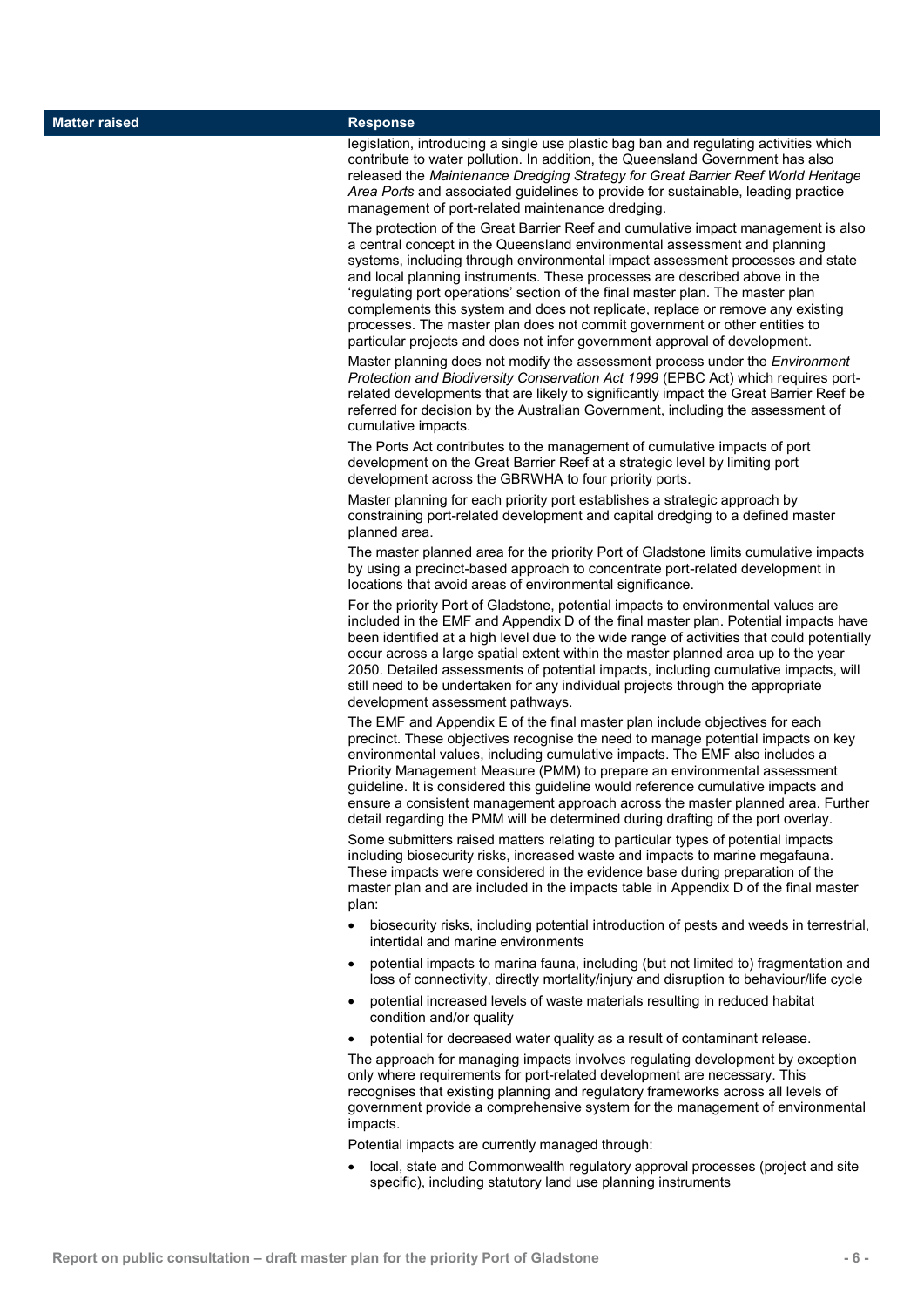legislation, introducing a single use plastic bag ban and regulating activities which contribute to water pollution. In addition, the Queensland Government has also released the *Maintenance Dredging Strategy for Great Barrier Reef World Heritage Area Ports* and associated guidelines to provide for sustainable, leading practice management of port-related maintenance dredging.

The protection of the Great Barrier Reef and cumulative impact management is also a central concept in the Queensland environmental assessment and planning systems, including through environmental impact assessment processes and state and local planning instruments. These processes are described above in the 'regulating port operations' section of the final master plan. The master plan complements this system and does not replicate, replace or remove any existing processes. The master plan does not commit government or other entities to particular projects and does not infer government approval of development.

Master planning does not modify the assessment process under the *Environment Protection and Biodiversity Conservation Act 1999* (EPBC Act) which requires portrelated developments that are likely to significantly impact the Great Barrier Reef be referred for decision by the Australian Government, including the assessment of cumulative impacts.

The Ports Act contributes to the management of cumulative impacts of port development on the Great Barrier Reef at a strategic level by limiting port development across the GBRWHA to four priority ports.

Master planning for each priority port establishes a strategic approach by constraining port-related development and capital dredging to a defined master planned area.

The master planned area for the priority Port of Gladstone limits cumulative impacts by using a precinct-based approach to concentrate port-related development in locations that avoid areas of environmental significance.

For the priority Port of Gladstone, potential impacts to environmental values are included in the EMF and Appendix D of the final master plan. Potential impacts have been identified at a high level due to the wide range of activities that could potentially occur across a large spatial extent within the master planned area up to the year 2050. Detailed assessments of potential impacts, including cumulative impacts, will still need to be undertaken for any individual projects through the appropriate development assessment pathways.

The EMF and Appendix E of the final master plan include objectives for each precinct. These objectives recognise the need to manage potential impacts on key environmental values, including cumulative impacts. The EMF also includes a Priority Management Measure (PMM) to prepare an environmental assessment guideline. It is considered this guideline would reference cumulative impacts and ensure a consistent management approach across the master planned area. Further detail regarding the PMM will be determined during drafting of the port overlay.

Some submitters raised matters relating to particular types of potential impacts including biosecurity risks, increased waste and impacts to marine megafauna. These impacts were considered in the evidence base during preparation of the master plan and are included in the impacts table in Appendix D of the final master plan:

- biosecurity risks, including potential introduction of pests and weeds in terrestrial, intertidal and marine environments
- potential impacts to marina fauna, including (but not limited to) fragmentation and loss of connectivity, directly mortality/injury and disruption to behaviour/life cycle
- potential increased levels of waste materials resulting in reduced habitat condition and/or quality
- potential for decreased water quality as a result of contaminant release.

The approach for managing impacts involves regulating development by exception only where requirements for port-related development are necessary. This recognises that existing planning and regulatory frameworks across all levels of government provide a comprehensive system for the management of environmental impacts.

Potential impacts are currently managed through:

• local, state and Commonwealth regulatory approval processes (project and site specific), including statutory land use planning instruments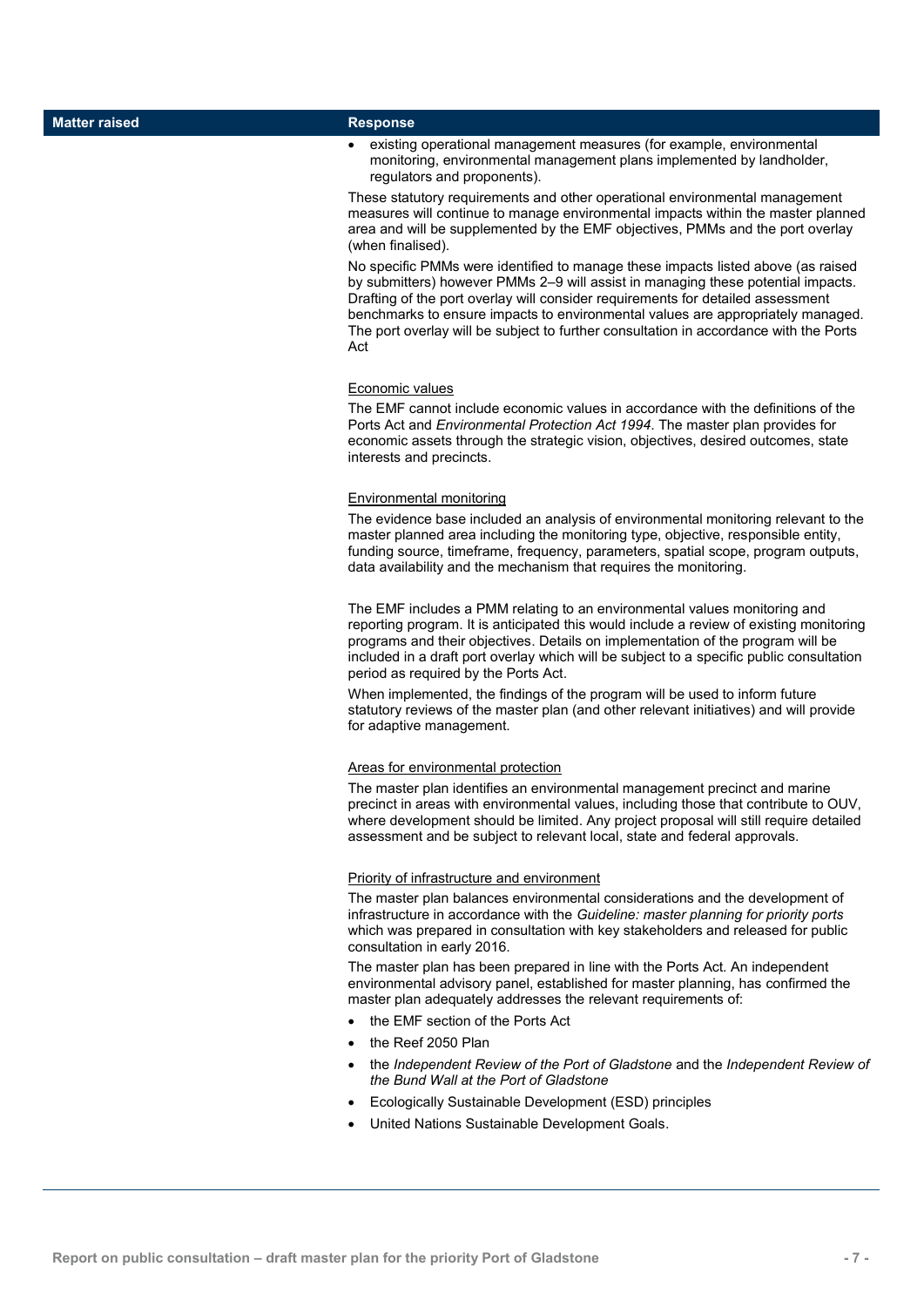• existing operational management measures (for example, environmental monitoring, environmental management plans implemented by landholder, regulators and proponents).

These statutory requirements and other operational environmental management measures will continue to manage environmental impacts within the master planned area and will be supplemented by the EMF objectives, PMMs and the port overlay (when finalised).

No specific PMMs were identified to manage these impacts listed above (as raised by submitters) however PMMs 2–9 will assist in managing these potential impacts. Drafting of the port overlay will consider requirements for detailed assessment benchmarks to ensure impacts to environmental values are appropriately managed. The port overlay will be subject to further consultation in accordance with the Ports Act

#### Economic values

The EMF cannot include economic values in accordance with the definitions of the Ports Act and *Environmental Protection Act 1994*. The master plan provides for economic assets through the strategic vision, objectives, desired outcomes, state interests and precincts.

#### Environmental monitoring

The evidence base included an analysis of environmental monitoring relevant to the master planned area including the monitoring type, objective, responsible entity, funding source, timeframe, frequency, parameters, spatial scope, program outputs, data availability and the mechanism that requires the monitoring.

The EMF includes a PMM relating to an environmental values monitoring and reporting program. It is anticipated this would include a review of existing monitoring programs and their objectives. Details on implementation of the program will be included in a draft port overlay which will be subject to a specific public consultation period as required by the Ports Act.

When implemented, the findings of the program will be used to inform future statutory reviews of the master plan (and other relevant initiatives) and will provide for adaptive management.

#### Areas for environmental protection

The master plan identifies an environmental management precinct and marine precinct in areas with environmental values, including those that contribute to OUV, where development should be limited. Any project proposal will still require detailed assessment and be subject to relevant local, state and federal approvals.

#### Priority of infrastructure and environment

The master plan balances environmental considerations and the development of infrastructure in accordance with the *Guideline: master planning for priority ports* which was prepared in consultation with key stakeholders and released for public consultation in early 2016.

The master plan has been prepared in line with the Ports Act. An independent environmental advisory panel, established for master planning, has confirmed the master plan adequately addresses the relevant requirements of:

- the EMF section of the Ports Act
- the Reef 2050 Plan
- the *Independent Review of the Port of Gladstone* and the *Independent Review of the Bund Wall at the Port of Gladstone*
- Ecologically Sustainable Development (ESD) principles
- United Nations Sustainable Development Goals.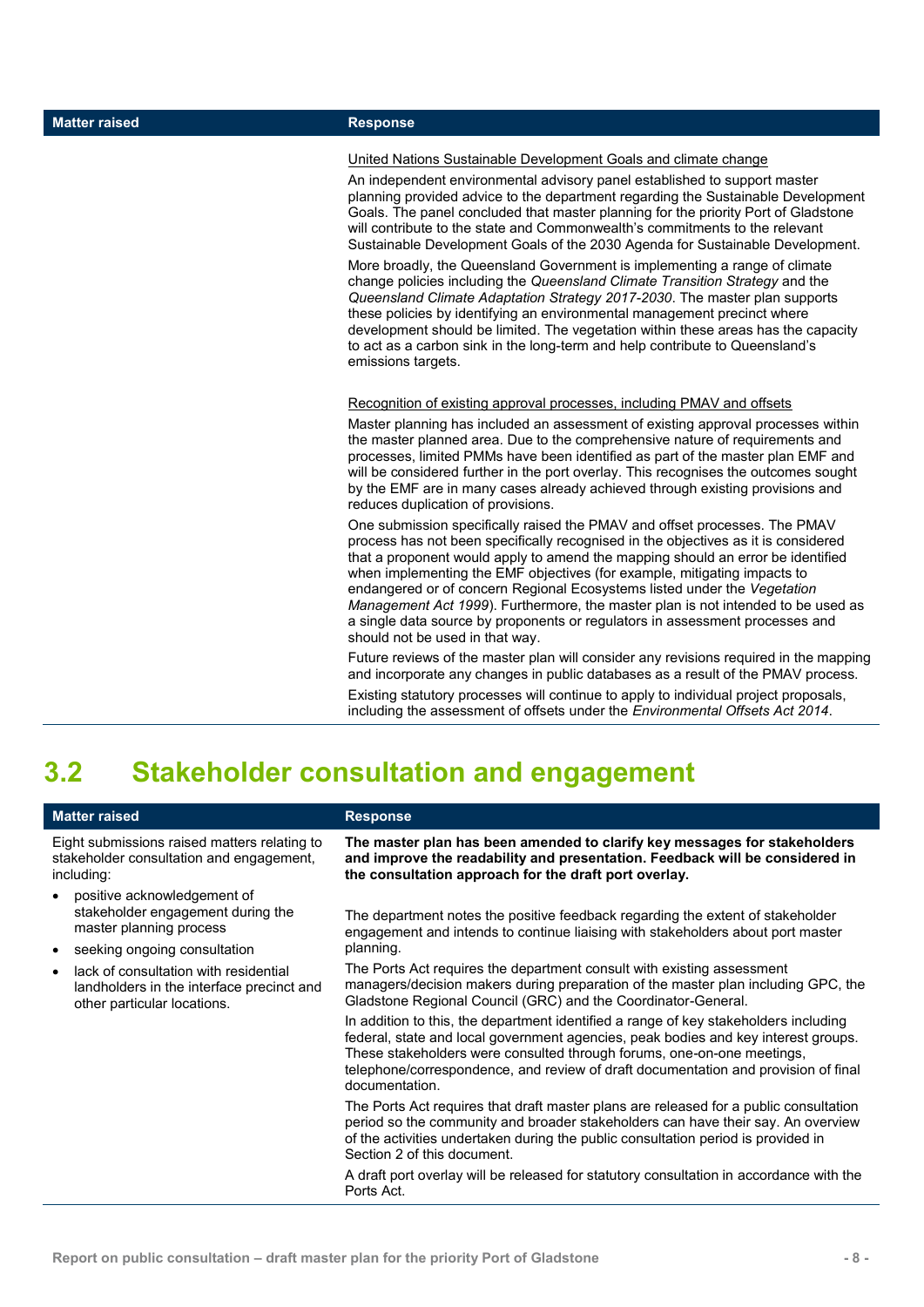#### United Nations Sustainable Development Goals and climate change

An independent environmental advisory panel established to support master planning provided advice to the department regarding the Sustainable Development Goals. The panel concluded that master planning for the priority Port of Gladstone will contribute to the state and Commonwealth's commitments to the relevant Sustainable Development Goals of the 2030 Agenda for Sustainable Development.

More broadly, the Queensland Government is implementing a range of climate change policies including the *Queensland Climate Transition Strategy* and the *Queensland Climate Adaptation Strategy 2017-2030*. The master plan supports these policies by identifying an environmental management precinct where development should be limited. The vegetation within these areas has the capacity to act as a carbon sink in the long-term and help contribute to Queensland's emissions targets.

#### Recognition of existing approval processes, including PMAV and offsets

Master planning has included an assessment of existing approval processes within the master planned area. Due to the comprehensive nature of requirements and processes, limited PMMs have been identified as part of the master plan EMF and will be considered further in the port overlay. This recognises the outcomes sought by the EMF are in many cases already achieved through existing provisions and reduces duplication of provisions.

One submission specifically raised the PMAV and offset processes. The PMAV process has not been specifically recognised in the objectives as it is considered that a proponent would apply to amend the mapping should an error be identified when implementing the EMF objectives (for example, mitigating impacts to endangered or of concern Regional Ecosystems listed under the *Vegetation Management Act 1999*). Furthermore, the master plan is not intended to be used as a single data source by proponents or regulators in assessment processes and should not be used in that way.

Future reviews of the master plan will consider any revisions required in the mapping and incorporate any changes in public databases as a result of the PMAV process.

Existing statutory processes will continue to apply to individual project proposals, including the assessment of offsets under the *Environmental Offsets Act 2014*.

### <span id="page-10-0"></span>**3.2 Stakeholder consultation and engagement**

| <b>Matter raised</b>                                                                                                           | <b>Response</b>                                                                                                                                                                                                                                                                                                                                              |
|--------------------------------------------------------------------------------------------------------------------------------|--------------------------------------------------------------------------------------------------------------------------------------------------------------------------------------------------------------------------------------------------------------------------------------------------------------------------------------------------------------|
| Eight submissions raised matters relating to<br>stakeholder consultation and engagement,<br>including:                         | The master plan has been amended to clarify key messages for stakeholders<br>and improve the readability and presentation. Feedback will be considered in<br>the consultation approach for the draft port overlay.                                                                                                                                           |
| positive acknowledgement of<br>stakeholder engagement during the<br>master planning process<br>seeking ongoing consultation    | The department notes the positive feedback regarding the extent of stakeholder<br>engagement and intends to continue liaising with stakeholders about port master<br>planning.                                                                                                                                                                               |
| lack of consultation with residential<br>$\bullet$<br>landholders in the interface precinct and<br>other particular locations. | The Ports Act requires the department consult with existing assessment<br>managers/decision makers during preparation of the master plan including GPC, the<br>Gladstone Regional Council (GRC) and the Coordinator-General.                                                                                                                                 |
|                                                                                                                                | In addition to this, the department identified a range of key stakeholders including<br>federal, state and local government agencies, peak bodies and key interest groups.<br>These stakeholders were consulted through forums, one-on-one meetings,<br>telephone/correspondence, and review of draft documentation and provision of final<br>documentation. |
|                                                                                                                                | The Ports Act requires that draft master plans are released for a public consultation<br>period so the community and broader stakeholders can have their say. An overview<br>of the activities undertaken during the public consultation period is provided in<br>Section 2 of this document.                                                                |
|                                                                                                                                | A draft port overlay will be released for statutory consultation in accordance with the<br>Ports Act.                                                                                                                                                                                                                                                        |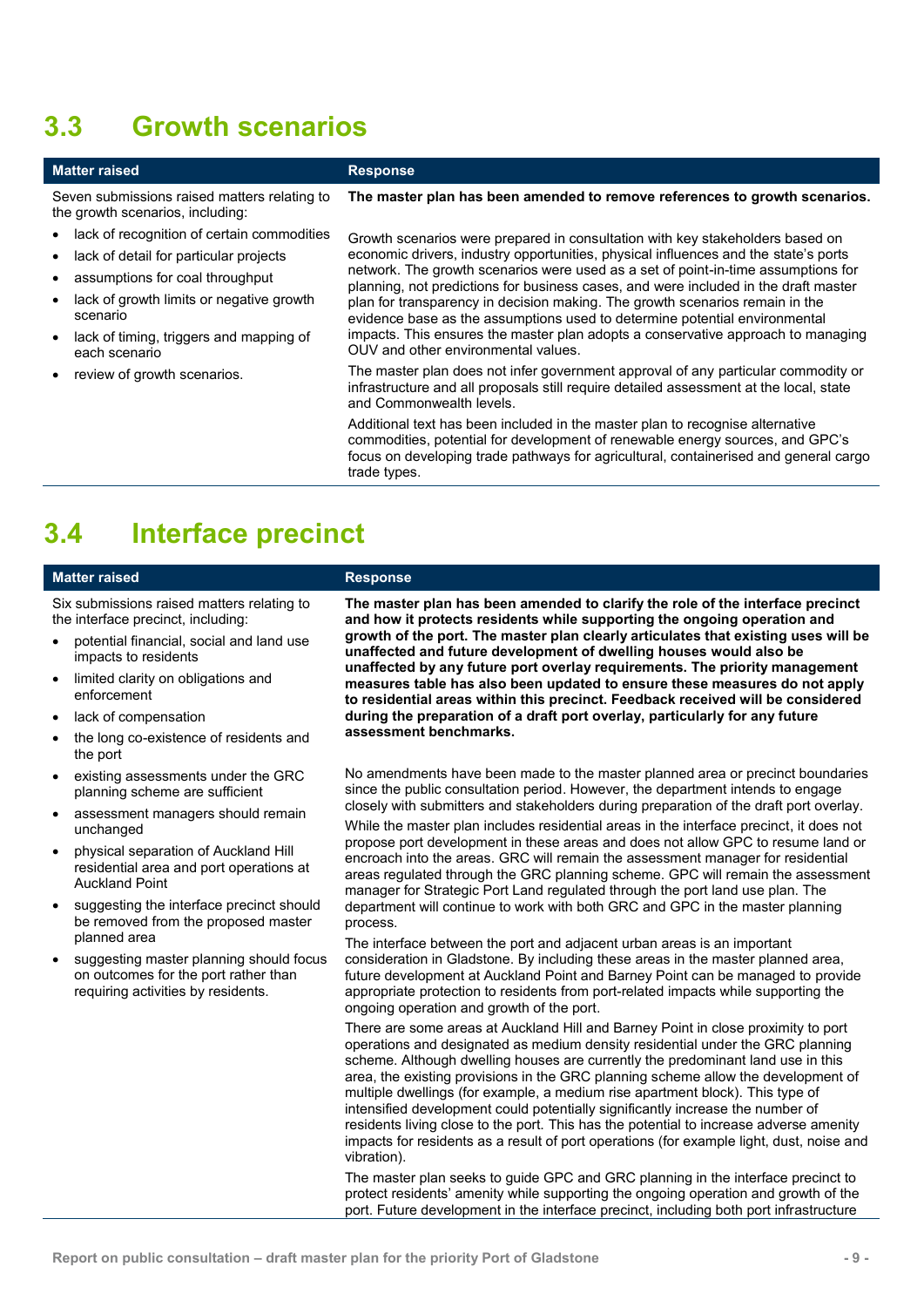### <span id="page-11-0"></span>**3.3 Growth scenarios**

| <b>Matter raised</b>                                                             | <b>Response</b>                                                                                                                                                                                                                                                                                                                                                                                                                                                                                                                                                                                                                           |
|----------------------------------------------------------------------------------|-------------------------------------------------------------------------------------------------------------------------------------------------------------------------------------------------------------------------------------------------------------------------------------------------------------------------------------------------------------------------------------------------------------------------------------------------------------------------------------------------------------------------------------------------------------------------------------------------------------------------------------------|
| Seven submissions raised matters relating to<br>the growth scenarios, including: | The master plan has been amended to remove references to growth scenarios.                                                                                                                                                                                                                                                                                                                                                                                                                                                                                                                                                                |
| lack of recognition of certain commodities                                       | Growth scenarios were prepared in consultation with key stakeholders based on<br>economic drivers, industry opportunities, physical influences and the state's ports<br>network. The growth scenarios were used as a set of point-in-time assumptions for<br>planning, not predictions for business cases, and were included in the draft master<br>plan for transparency in decision making. The growth scenarios remain in the<br>evidence base as the assumptions used to determine potential environmental<br>impacts. This ensures the master plan adopts a conservative approach to managing<br>OUV and other environmental values. |
| lack of detail for particular projects                                           |                                                                                                                                                                                                                                                                                                                                                                                                                                                                                                                                                                                                                                           |
| assumptions for coal throughput                                                  |                                                                                                                                                                                                                                                                                                                                                                                                                                                                                                                                                                                                                                           |
| lack of growth limits or negative growth<br>scenario                             |                                                                                                                                                                                                                                                                                                                                                                                                                                                                                                                                                                                                                                           |
| lack of timing, triggers and mapping of<br>each scenario                         |                                                                                                                                                                                                                                                                                                                                                                                                                                                                                                                                                                                                                                           |
| review of growth scenarios.                                                      | The master plan does not infer government approval of any particular commodity or<br>infrastructure and all proposals still require detailed assessment at the local, state<br>and Commonwealth levels.                                                                                                                                                                                                                                                                                                                                                                                                                                   |
|                                                                                  | Additional text has been included in the master plan to recognise alternative                                                                                                                                                                                                                                                                                                                                                                                                                                                                                                                                                             |

commodities, potential for development of renewable energy sources, and GPC's focus on developing trade pathways for agricultural, containerised and general cargo trade types.

### <span id="page-11-1"></span>**3.4 Interface precinct**

| <b>Matter raised</b>                                                                                                                               | <b>Response</b>                                                                                                                                                                                                                                                                                                                                                                                                                                                                                                                                                                                                                                                                                                                                                                                                           |  |
|----------------------------------------------------------------------------------------------------------------------------------------------------|---------------------------------------------------------------------------------------------------------------------------------------------------------------------------------------------------------------------------------------------------------------------------------------------------------------------------------------------------------------------------------------------------------------------------------------------------------------------------------------------------------------------------------------------------------------------------------------------------------------------------------------------------------------------------------------------------------------------------------------------------------------------------------------------------------------------------|--|
| Six submissions raised matters relating to<br>the interface precinct, including:                                                                   | The master plan has been amended to clarify the role of the interface precinct<br>and how it protects residents while supporting the ongoing operation and                                                                                                                                                                                                                                                                                                                                                                                                                                                                                                                                                                                                                                                                |  |
| potential financial, social and land use<br>impacts to residents                                                                                   | growth of the port. The master plan clearly articulates that existing uses will be<br>unaffected and future development of dwelling houses would also be<br>unaffected by any future port overlay requirements. The priority management<br>measures table has also been updated to ensure these measures do not apply<br>to residential areas within this precinct. Feedback received will be considered                                                                                                                                                                                                                                                                                                                                                                                                                  |  |
| limited clarity on obligations and<br>$\bullet$<br>enforcement                                                                                     |                                                                                                                                                                                                                                                                                                                                                                                                                                                                                                                                                                                                                                                                                                                                                                                                                           |  |
| lack of compensation<br>$\bullet$                                                                                                                  | during the preparation of a draft port overlay, particularly for any future                                                                                                                                                                                                                                                                                                                                                                                                                                                                                                                                                                                                                                                                                                                                               |  |
| the long co-existence of residents and<br>the port                                                                                                 | assessment benchmarks.                                                                                                                                                                                                                                                                                                                                                                                                                                                                                                                                                                                                                                                                                                                                                                                                    |  |
| existing assessments under the GRC<br>$\bullet$<br>planning scheme are sufficient                                                                  | No amendments have been made to the master planned area or precinct boundaries<br>since the public consultation period. However, the department intends to engage                                                                                                                                                                                                                                                                                                                                                                                                                                                                                                                                                                                                                                                         |  |
| assessment managers should remain<br>$\bullet$<br>unchanged                                                                                        | closely with submitters and stakeholders during preparation of the draft port overlay.<br>While the master plan includes residential areas in the interface precinct, it does not                                                                                                                                                                                                                                                                                                                                                                                                                                                                                                                                                                                                                                         |  |
| physical separation of Auckland Hill<br>$\bullet$<br>residential area and port operations at<br><b>Auckland Point</b>                              | propose port development in these areas and does not allow GPC to resume land or<br>encroach into the areas. GRC will remain the assessment manager for residential<br>areas regulated through the GRC planning scheme. GPC will remain the assessment<br>manager for Strategic Port Land regulated through the port land use plan. The<br>department will continue to work with both GRC and GPC in the master planning<br>process.<br>The interface between the port and adjacent urban areas is an important<br>consideration in Gladstone. By including these areas in the master planned area,<br>future development at Auckland Point and Barney Point can be managed to provide<br>appropriate protection to residents from port-related impacts while supporting the<br>ongoing operation and growth of the port. |  |
| suggesting the interface precinct should<br>$\bullet$<br>be removed from the proposed master                                                       |                                                                                                                                                                                                                                                                                                                                                                                                                                                                                                                                                                                                                                                                                                                                                                                                                           |  |
| planned area<br>suggesting master planning should focus<br>$\bullet$<br>on outcomes for the port rather than<br>requiring activities by residents. |                                                                                                                                                                                                                                                                                                                                                                                                                                                                                                                                                                                                                                                                                                                                                                                                                           |  |
|                                                                                                                                                    | There are some areas at Auckland Hill and Barney Point in close proximity to port<br>operations and designated as medium density residential under the GRC planning<br>scheme. Although dwelling houses are currently the predominant land use in this<br>area, the existing provisions in the GRC planning scheme allow the development of<br>multiple dwellings (for example, a medium rise apartment block). This type of<br>intensified development could potentially significantly increase the number of<br>residents living close to the port. This has the potential to increase adverse amenity<br>impacts for residents as a result of port operations (for example light, dust, noise and<br>vibration).                                                                                                       |  |
|                                                                                                                                                    | The master plan seeks to quide GPC and GRC planning in the interface precinct to                                                                                                                                                                                                                                                                                                                                                                                                                                                                                                                                                                                                                                                                                                                                          |  |

The master plan seeks to guide GPC and GRC planning in the interface precinct to protect residents' amenity while supporting the ongoing operation and growth of the port. Future development in the interface precinct, including both port infrastructure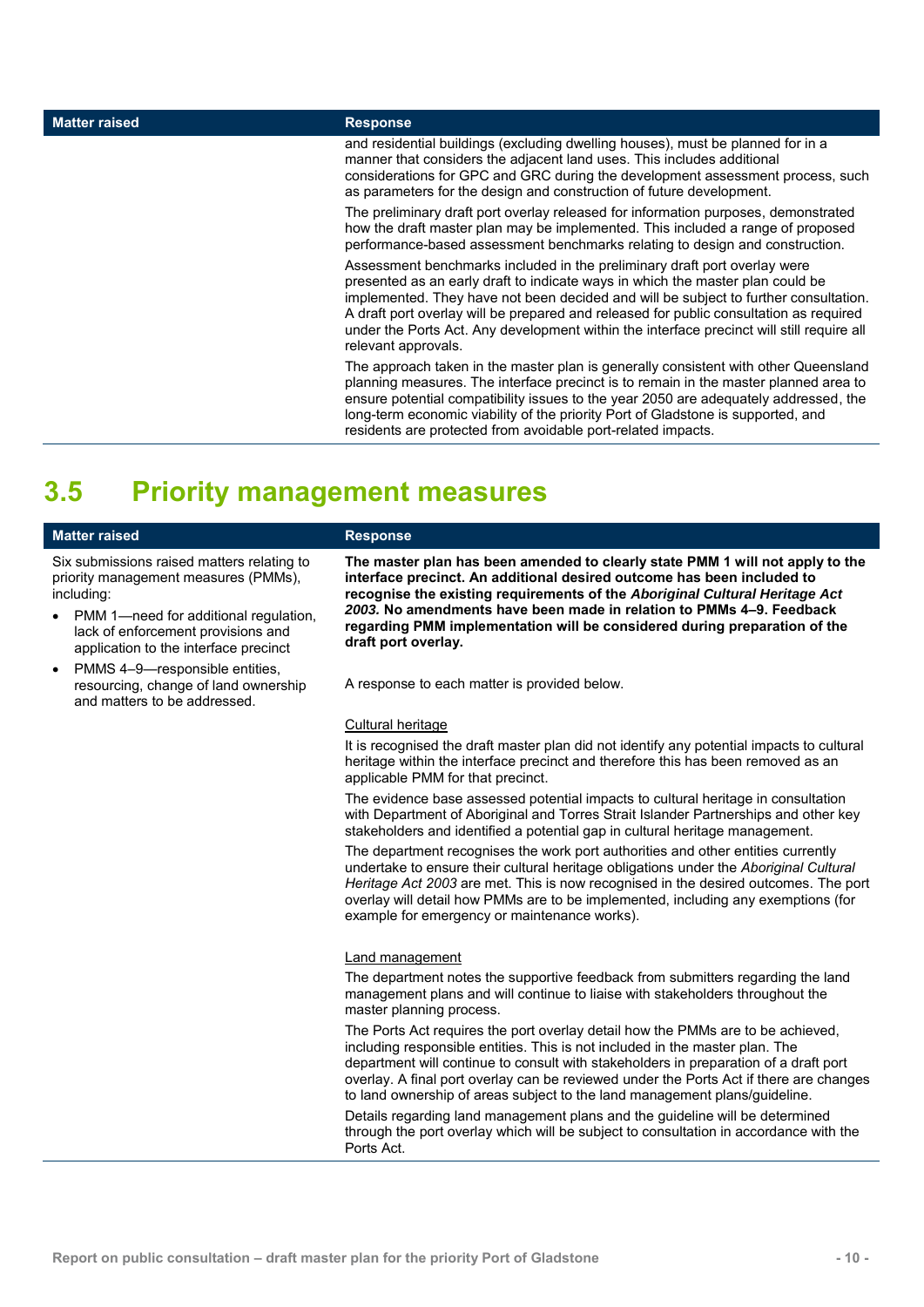### **Matter raised Response**

and residential buildings (excluding dwelling houses), must be planned for in a manner that considers the adjacent land uses. This includes additional considerations for GPC and GRC during the development assessment process, such as parameters for the design and construction of future development.

The preliminary draft port overlay released for information purposes, demonstrated how the draft master plan may be implemented. This included a range of proposed performance-based assessment benchmarks relating to design and construction.

Assessment benchmarks included in the preliminary draft port overlay were presented as an early draft to indicate ways in which the master plan could be implemented. They have not been decided and will be subject to further consultation. A draft port overlay will be prepared and released for public consultation as required under the Ports Act. Any development within the interface precinct will still require all relevant approvals.

The approach taken in the master plan is generally consistent with other Queensland planning measures. The interface precinct is to remain in the master planned area to ensure potential compatibility issues to the year 2050 are adequately addressed, the long-term economic viability of the priority Port of Gladstone is supported, and residents are protected from avoidable port-related impacts.

### <span id="page-12-0"></span>**3.5 Priority management measures**

| <b>Matter raised</b>                                                                                                                                                                                                                  | <b>Response</b>                                                                                                                                                                                                                                                                                                                                                                                                                 |
|---------------------------------------------------------------------------------------------------------------------------------------------------------------------------------------------------------------------------------------|---------------------------------------------------------------------------------------------------------------------------------------------------------------------------------------------------------------------------------------------------------------------------------------------------------------------------------------------------------------------------------------------------------------------------------|
| Six submissions raised matters relating to<br>priority management measures (PMMs),<br>including:<br>PMM 1—need for additional regulation,<br>$\bullet$<br>lack of enforcement provisions and<br>application to the interface precinct | The master plan has been amended to clearly state PMM 1 will not apply to the<br>interface precinct. An additional desired outcome has been included to<br>recognise the existing requirements of the Aboriginal Cultural Heritage Act<br>2003. No amendments have been made in relation to PMMs 4-9. Feedback<br>regarding PMM implementation will be considered during preparation of the<br>draft port overlay.              |
| PMMS 4-9-responsible entities,<br>$\bullet$<br>resourcing, change of land ownership<br>and matters to be addressed.                                                                                                                   | A response to each matter is provided below.                                                                                                                                                                                                                                                                                                                                                                                    |
|                                                                                                                                                                                                                                       | Cultural heritage                                                                                                                                                                                                                                                                                                                                                                                                               |
|                                                                                                                                                                                                                                       | It is recognised the draft master plan did not identify any potential impacts to cultural<br>heritage within the interface precinct and therefore this has been removed as an<br>applicable PMM for that precinct.                                                                                                                                                                                                              |
|                                                                                                                                                                                                                                       | The evidence base assessed potential impacts to cultural heritage in consultation<br>with Department of Aboriginal and Torres Strait Islander Partnerships and other key<br>stakeholders and identified a potential gap in cultural heritage management.                                                                                                                                                                        |
|                                                                                                                                                                                                                                       | The department recognises the work port authorities and other entities currently<br>undertake to ensure their cultural heritage obligations under the Aboriginal Cultural<br>Heritage Act 2003 are met. This is now recognised in the desired outcomes. The port<br>overlay will detail how PMMs are to be implemented, including any exemptions (for<br>example for emergency or maintenance works).                           |
|                                                                                                                                                                                                                                       | Land management                                                                                                                                                                                                                                                                                                                                                                                                                 |
|                                                                                                                                                                                                                                       | The department notes the supportive feedback from submitters regarding the land<br>management plans and will continue to liaise with stakeholders throughout the<br>master planning process.                                                                                                                                                                                                                                    |
|                                                                                                                                                                                                                                       | The Ports Act requires the port overlay detail how the PMMs are to be achieved,<br>including responsible entities. This is not included in the master plan. The<br>department will continue to consult with stakeholders in preparation of a draft port<br>overlay. A final port overlay can be reviewed under the Ports Act if there are changes<br>to land ownership of areas subject to the land management plans/guideline. |
|                                                                                                                                                                                                                                       | Details regarding land management plans and the guideline will be determined<br>through the port overlay which will be subject to consultation in accordance with the<br>Ports Act.                                                                                                                                                                                                                                             |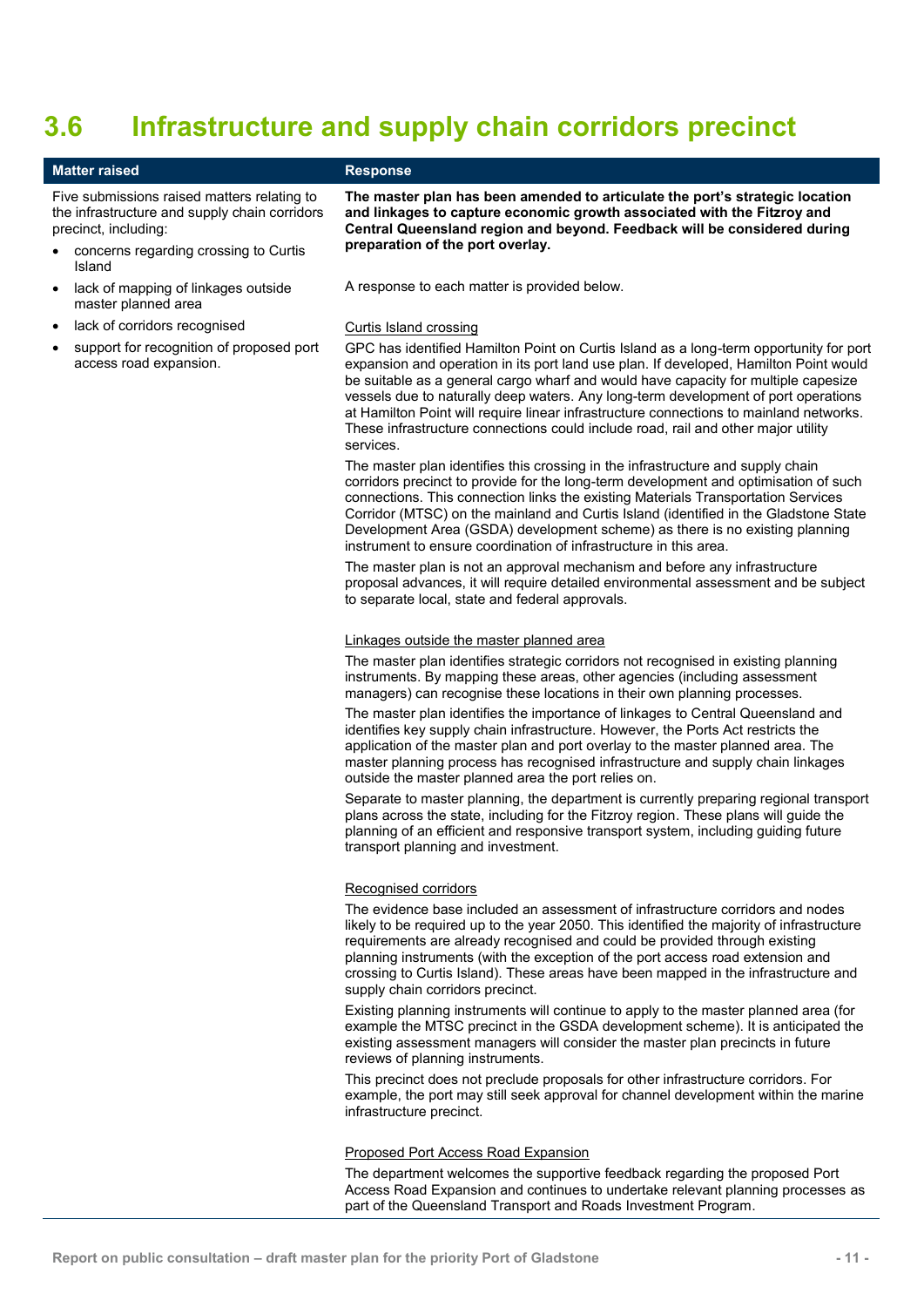### <span id="page-13-0"></span>**3.6 Infrastructure and supply chain corridors precinct**

| <b>Matter raised</b>                                                                                                 | <b>Response</b>                                                                                                                                                                                                                     |  |
|----------------------------------------------------------------------------------------------------------------------|-------------------------------------------------------------------------------------------------------------------------------------------------------------------------------------------------------------------------------------|--|
| Five submissions raised matters relating to<br>the infrastructure and supply chain corridors<br>precinct, including: | The master plan has been amended to articulate the port's strategic location<br>and linkages to capture economic growth associated with the Fitzroy and<br>Central Queensland region and beyond. Feedback will be considered during |  |
| concerns regarding crossing to Curtis<br>$\bullet$<br>Island                                                         | preparation of the port overlay.                                                                                                                                                                                                    |  |
| lack of mapping of linkages outside<br>$\bullet$<br>master planned area                                              | A response to each matter is provided below.                                                                                                                                                                                        |  |

lack of corridors recognised

access road expansion.

support for recognition of proposed port

### Curtis Island crossing

GPC has identified Hamilton Point on Curtis Island as a long-term opportunity for port expansion and operation in its port land use plan. If developed, Hamilton Point would be suitable as a general cargo wharf and would have capacity for multiple capesize vessels due to naturally deep waters. Any long-term development of port operations at Hamilton Point will require linear infrastructure connections to mainland networks. These infrastructure connections could include road, rail and other major utility services.

The master plan identifies this crossing in the infrastructure and supply chain corridors precinct to provide for the long-term development and optimisation of such connections. This connection links the existing Materials Transportation Services Corridor (MTSC) on the mainland and Curtis Island (identified in the Gladstone State Development Area (GSDA) development scheme) as there is no existing planning instrument to ensure coordination of infrastructure in this area.

The master plan is not an approval mechanism and before any infrastructure proposal advances, it will require detailed environmental assessment and be subject to separate local, state and federal approvals.

#### Linkages outside the master planned area

The master plan identifies strategic corridors not recognised in existing planning instruments. By mapping these areas, other agencies (including assessment managers) can recognise these locations in their own planning processes.

The master plan identifies the importance of linkages to Central Queensland and identifies key supply chain infrastructure. However, the Ports Act restricts the application of the master plan and port overlay to the master planned area. The master planning process has recognised infrastructure and supply chain linkages outside the master planned area the port relies on.

Separate to master planning, the department is currently preparing regional transport plans across the state, including for the Fitzroy region. These plans will guide the planning of an efficient and responsive transport system, including guiding future transport planning and investment.

#### Recognised corridors

The evidence base included an assessment of infrastructure corridors and nodes likely to be required up to the year 2050. This identified the majority of infrastructure requirements are already recognised and could be provided through existing planning instruments (with the exception of the port access road extension and crossing to Curtis Island). These areas have been mapped in the infrastructure and supply chain corridors precinct.

Existing planning instruments will continue to apply to the master planned area (for example the MTSC precinct in the GSDA development scheme). It is anticipated the existing assessment managers will consider the master plan precincts in future reviews of planning instruments.

This precinct does not preclude proposals for other infrastructure corridors. For example, the port may still seek approval for channel development within the marine infrastructure precinct.

#### Proposed Port Access Road Expansion

The department welcomes the supportive feedback regarding the proposed Port Access Road Expansion and continues to undertake relevant planning processes as part of the Queensland Transport and Roads Investment Program.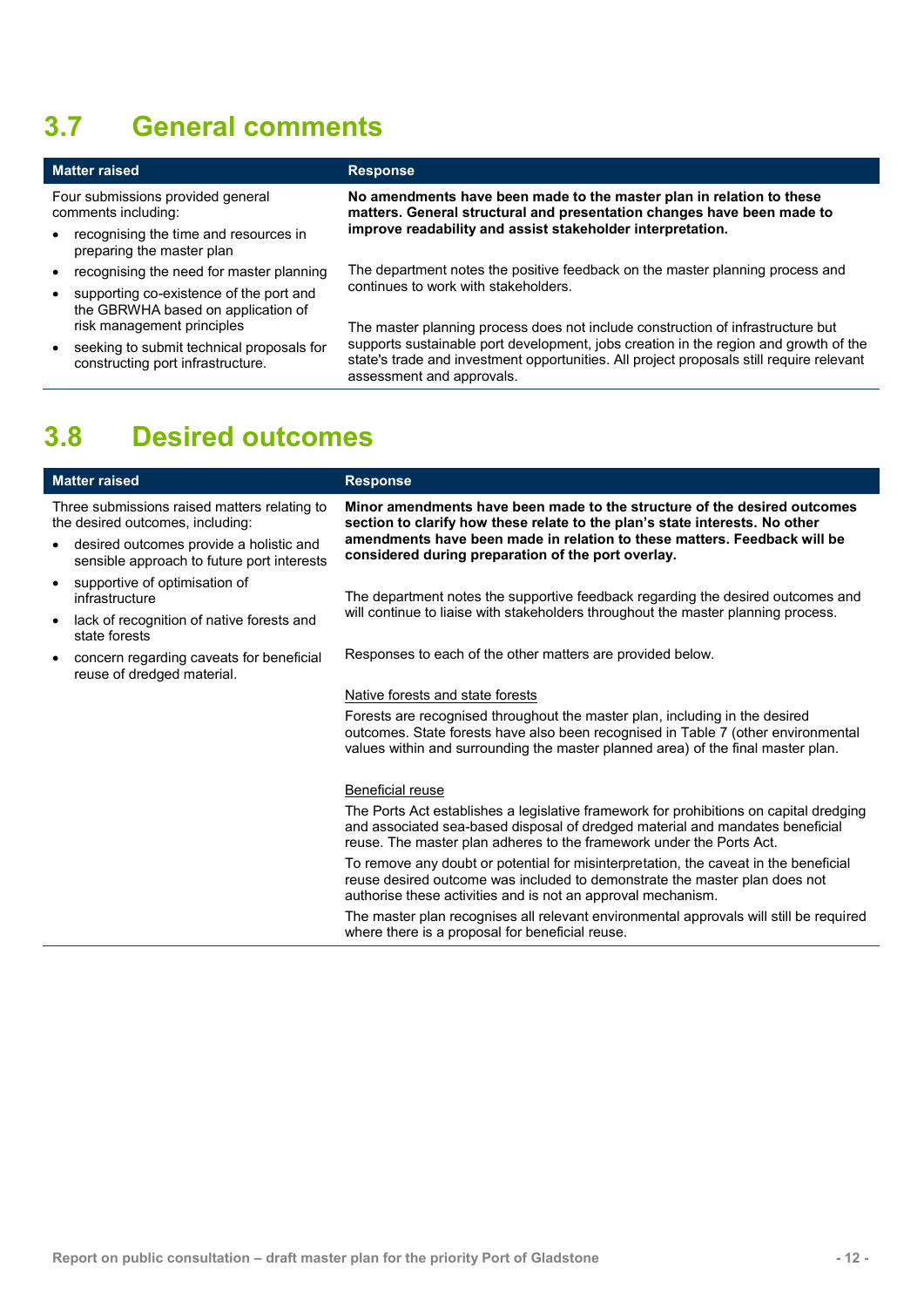### <span id="page-14-0"></span>**3.7 General comments**

| <b>Matter raised</b>                                                           | <b>Response</b>                                                                                                                                                                                                                                                                                                                                                                                                           |
|--------------------------------------------------------------------------------|---------------------------------------------------------------------------------------------------------------------------------------------------------------------------------------------------------------------------------------------------------------------------------------------------------------------------------------------------------------------------------------------------------------------------|
| Four submissions provided general<br>comments including:                       | No amendments have been made to the master plan in relation to these<br>matters. General structural and presentation changes have been made to<br>improve readability and assist stakeholder interpretation.                                                                                                                                                                                                              |
| recognising the time and resources in<br>preparing the master plan             |                                                                                                                                                                                                                                                                                                                                                                                                                           |
| recognising the need for master planning                                       | The department notes the positive feedback on the master planning process and<br>continues to work with stakeholders.<br>The master planning process does not include construction of infrastructure but<br>supports sustainable port development, jobs creation in the region and growth of the<br>state's trade and investment opportunities. All project proposals still require relevant<br>assessment and approvals. |
| supporting co-existence of the port and<br>the GBRWHA based on application of  |                                                                                                                                                                                                                                                                                                                                                                                                                           |
| risk management principles                                                     |                                                                                                                                                                                                                                                                                                                                                                                                                           |
| seeking to submit technical proposals for<br>constructing port infrastructure. |                                                                                                                                                                                                                                                                                                                                                                                                                           |
|                                                                                |                                                                                                                                                                                                                                                                                                                                                                                                                           |

## <span id="page-14-1"></span>**3.8 Desired outcomes**

| <b>Matter raised</b>                                                                               | <b>Response</b>                                                                                                                                                                                                                                                                           |
|----------------------------------------------------------------------------------------------------|-------------------------------------------------------------------------------------------------------------------------------------------------------------------------------------------------------------------------------------------------------------------------------------------|
| Three submissions raised matters relating to<br>the desired outcomes, including:                   | Minor amendments have been made to the structure of the desired outcomes<br>section to clarify how these relate to the plan's state interests. No other<br>amendments have been made in relation to these matters. Feedback will be<br>considered during preparation of the port overlay. |
| desired outcomes provide a holistic and<br>$\bullet$<br>sensible approach to future port interests |                                                                                                                                                                                                                                                                                           |
| supportive of optimisation of<br>$\bullet$<br>infrastructure                                       | The department notes the supportive feedback regarding the desired outcomes and<br>will continue to liaise with stakeholders throughout the master planning process.                                                                                                                      |
| lack of recognition of native forests and<br>$\bullet$<br>state forests                            |                                                                                                                                                                                                                                                                                           |
| concern regarding caveats for beneficial<br>$\bullet$<br>reuse of dredged material.                | Responses to each of the other matters are provided below.                                                                                                                                                                                                                                |
|                                                                                                    | Native forests and state forests                                                                                                                                                                                                                                                          |
|                                                                                                    | Forests are recognised throughout the master plan, including in the desired<br>outcomes. State forests have also been recognised in Table 7 (other environmental<br>values within and surrounding the master planned area) of the final master plan.                                      |
|                                                                                                    | Beneficial reuse                                                                                                                                                                                                                                                                          |
|                                                                                                    | The Ports Act establishes a legislative framework for prohibitions on capital dredging<br>and associated sea-based disposal of dredged material and mandates beneficial<br>reuse. The master plan adheres to the framework under the Ports Act.                                           |
|                                                                                                    | To remove any doubt or potential for misinterpretation, the caveat in the beneficial<br>reuse desired outcome was included to demonstrate the master plan does not<br>authorise these activities and is not an approval mechanism.                                                        |

The master plan recognises all relevant environmental approvals will still be required where there is a proposal for beneficial reuse.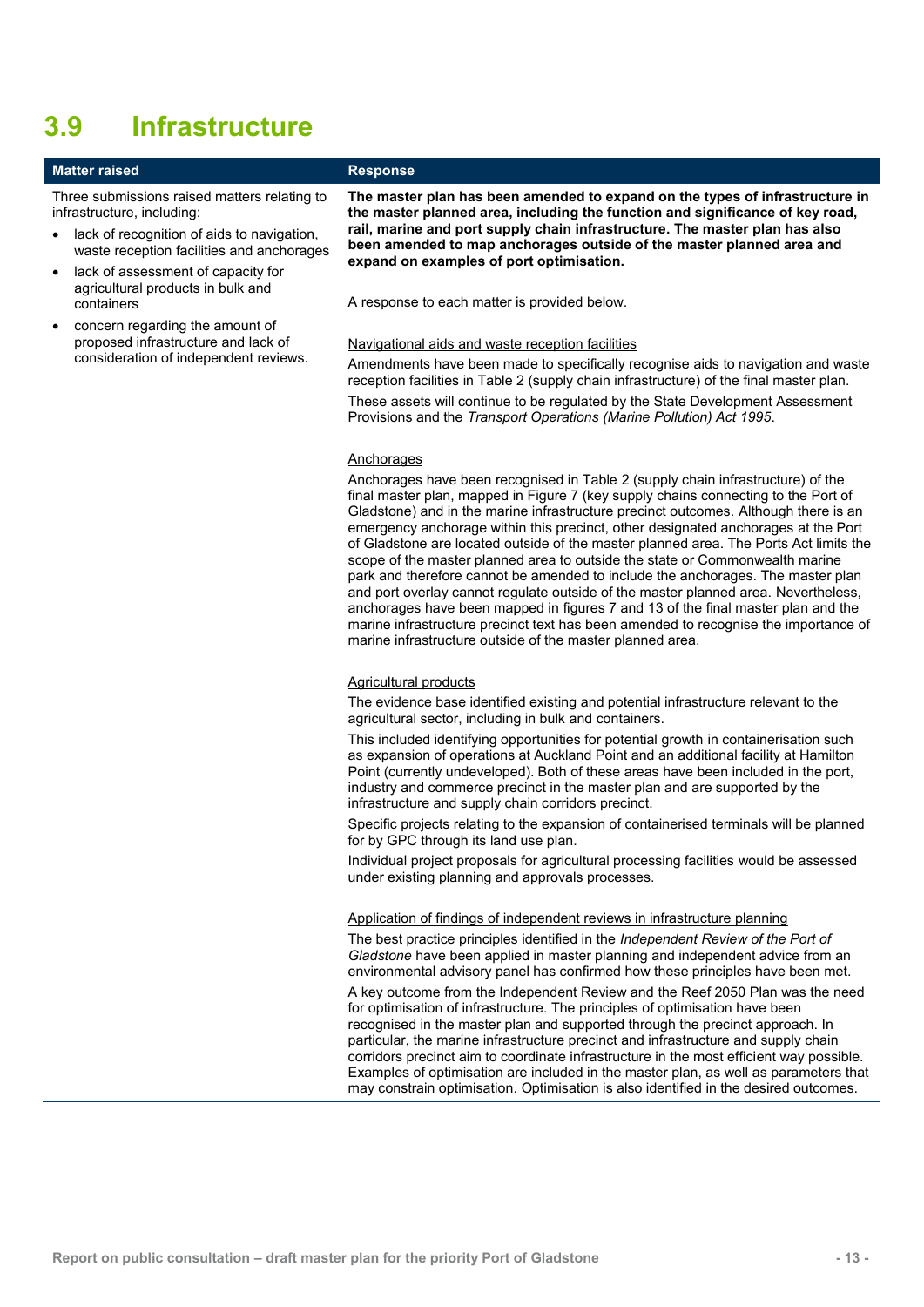### <span id="page-15-0"></span>**3.9 Infrastructure**

### **Matter raised Response**

Three submissions raised matters relating to infrastructure, including:

- lack of recognition of aids to navigation, waste reception facilities and anchorages
- lack of assessment of capacity for agricultural products in bulk and containers
- concern regarding the amount of proposed infrastructure and lack of consideration of independent reviews.

**The master plan has been amended to expand on the types of infrastructure in the master planned area, including the function and significance of key road, rail, marine and port supply chain infrastructure. The master plan has also been amended to map anchorages outside of the master planned area and expand on examples of port optimisation.**

A response to each matter is provided below.

#### Navigational aids and waste reception facilities

Amendments have been made to specifically recognise aids to navigation and waste reception facilities in Table 2 (supply chain infrastructure) of the final master plan.

These assets will continue to be regulated by the State Development Assessment Provisions and the *Transport Operations (Marine Pollution) Act 1995*.

#### **Anchorages**

Anchorages have been recognised in Table 2 (supply chain infrastructure) of the final master plan, mapped in Figure 7 (key supply chains connecting to the Port of Gladstone) and in the marine infrastructure precinct outcomes. Although there is an emergency anchorage within this precinct, other designated anchorages at the Port of Gladstone are located outside of the master planned area. The Ports Act limits the scope of the master planned area to outside the state or Commonwealth marine park and therefore cannot be amended to include the anchorages. The master plan and port overlay cannot regulate outside of the master planned area. Nevertheless, anchorages have been mapped in figures 7 and 13 of the final master plan and the marine infrastructure precinct text has been amended to recognise the importance of marine infrastructure outside of the master planned area.

#### Agricultural products

The evidence base identified existing and potential infrastructure relevant to the agricultural sector, including in bulk and containers.

This included identifying opportunities for potential growth in containerisation such as expansion of operations at Auckland Point and an additional facility at Hamilton Point (currently undeveloped). Both of these areas have been included in the port, industry and commerce precinct in the master plan and are supported by the infrastructure and supply chain corridors precinct.

Specific projects relating to the expansion of containerised terminals will be planned for by GPC through its land use plan.

Individual project proposals for agricultural processing facilities would be assessed under existing planning and approvals processes.

#### Application of findings of independent reviews in infrastructure planning

The best practice principles identified in the *Independent Review of the Port of Gladstone* have been applied in master planning and independent advice from an environmental advisory panel has confirmed how these principles have been met.

A key outcome from the Independent Review and the Reef 2050 Plan was the need for optimisation of infrastructure. The principles of optimisation have been recognised in the master plan and supported through the precinct approach. In particular, the marine infrastructure precinct and infrastructure and supply chain corridors precinct aim to coordinate infrastructure in the most efficient way possible. Examples of optimisation are included in the master plan, as well as parameters that may constrain optimisation. Optimisation is also identified in the desired outcomes.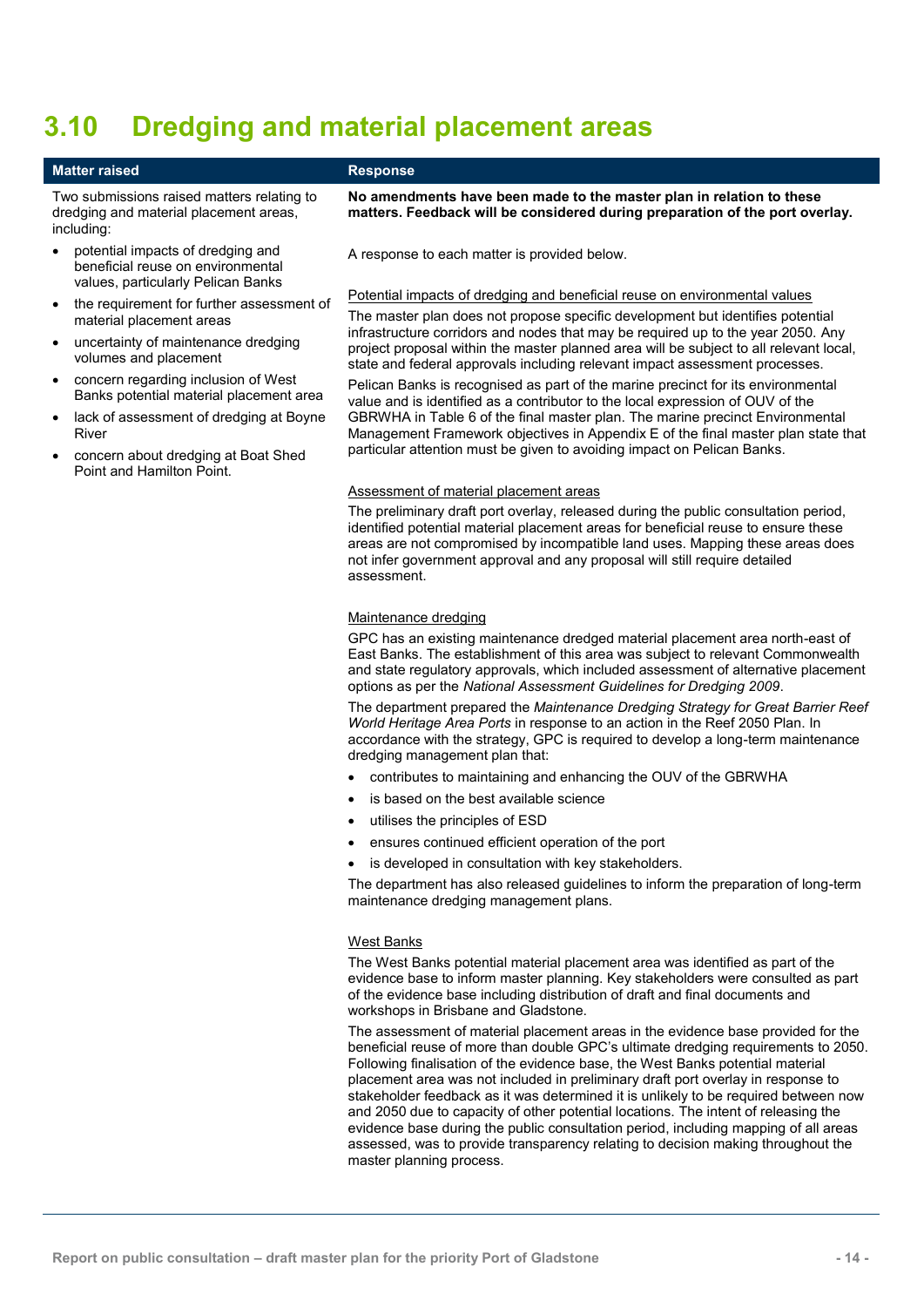### <span id="page-16-0"></span>**3.10 Dredging and material placement areas**

#### **Matter raised Response**

Two submissions raised matters relating to dredging and material placement areas, including:

- potential impacts of dredging and beneficial reuse on environmental values, particularly Pelican Banks
- the requirement for further assessment of material placement areas
- uncertainty of maintenance dredging volumes and placement
- concern regarding inclusion of West Banks potential material placement area
- lack of assessment of dredging at Boyne River
- concern about dredging at Boat Shed Point and Hamilton Point.

**No amendments have been made to the master plan in relation to these matters. Feedback will be considered during preparation of the port overlay.**

A response to each matter is provided below.

#### Potential impacts of dredging and beneficial reuse on environmental values

The master plan does not propose specific development but identifies potential infrastructure corridors and nodes that may be required up to the year 2050. Any project proposal within the master planned area will be subject to all relevant local, state and federal approvals including relevant impact assessment processes.

Pelican Banks is recognised as part of the marine precinct for its environmental value and is identified as a contributor to the local expression of OUV of the GBRWHA in Table 6 of the final master plan. The marine precinct Environmental Management Framework objectives in Appendix E of the final master plan state that particular attention must be given to avoiding impact on Pelican Banks.

#### Assessment of material placement areas

The preliminary draft port overlay, released during the public consultation period, identified potential material placement areas for beneficial reuse to ensure these areas are not compromised by incompatible land uses. Mapping these areas does not infer government approval and any proposal will still require detailed assessment.

#### Maintenance dredging

GPC has an existing maintenance dredged material placement area north-east of East Banks. The establishment of this area was subject to relevant Commonwealth and state regulatory approvals, which included assessment of alternative placement options as per the *National Assessment Guidelines for Dredging 2009*.

The department prepared the *Maintenance Dredging Strategy for Great Barrier Reef World Heritage Area Ports* in response to an action in the Reef 2050 Plan. In accordance with the strategy, GPC is required to develop a long-term maintenance dredging management plan that:

- contributes to maintaining and enhancing the OUV of the GBRWHA
- is based on the best available science
- utilises the principles of ESD
- ensures continued efficient operation of the port
- is developed in consultation with key stakeholders.

The department has also released guidelines to inform the preparation of long-term maintenance dredging management plans.

#### West Banks

The West Banks potential material placement area was identified as part of the evidence base to inform master planning. Key stakeholders were consulted as part of the evidence base including distribution of draft and final documents and workshops in Brisbane and Gladstone.

The assessment of material placement areas in the evidence base provided for the beneficial reuse of more than double GPC's ultimate dredging requirements to 2050. Following finalisation of the evidence base, the West Banks potential material placement area was not included in preliminary draft port overlay in response to stakeholder feedback as it was determined it is unlikely to be required between now and 2050 due to capacity of other potential locations. The intent of releasing the evidence base during the public consultation period, including mapping of all areas assessed, was to provide transparency relating to decision making throughout the master planning process.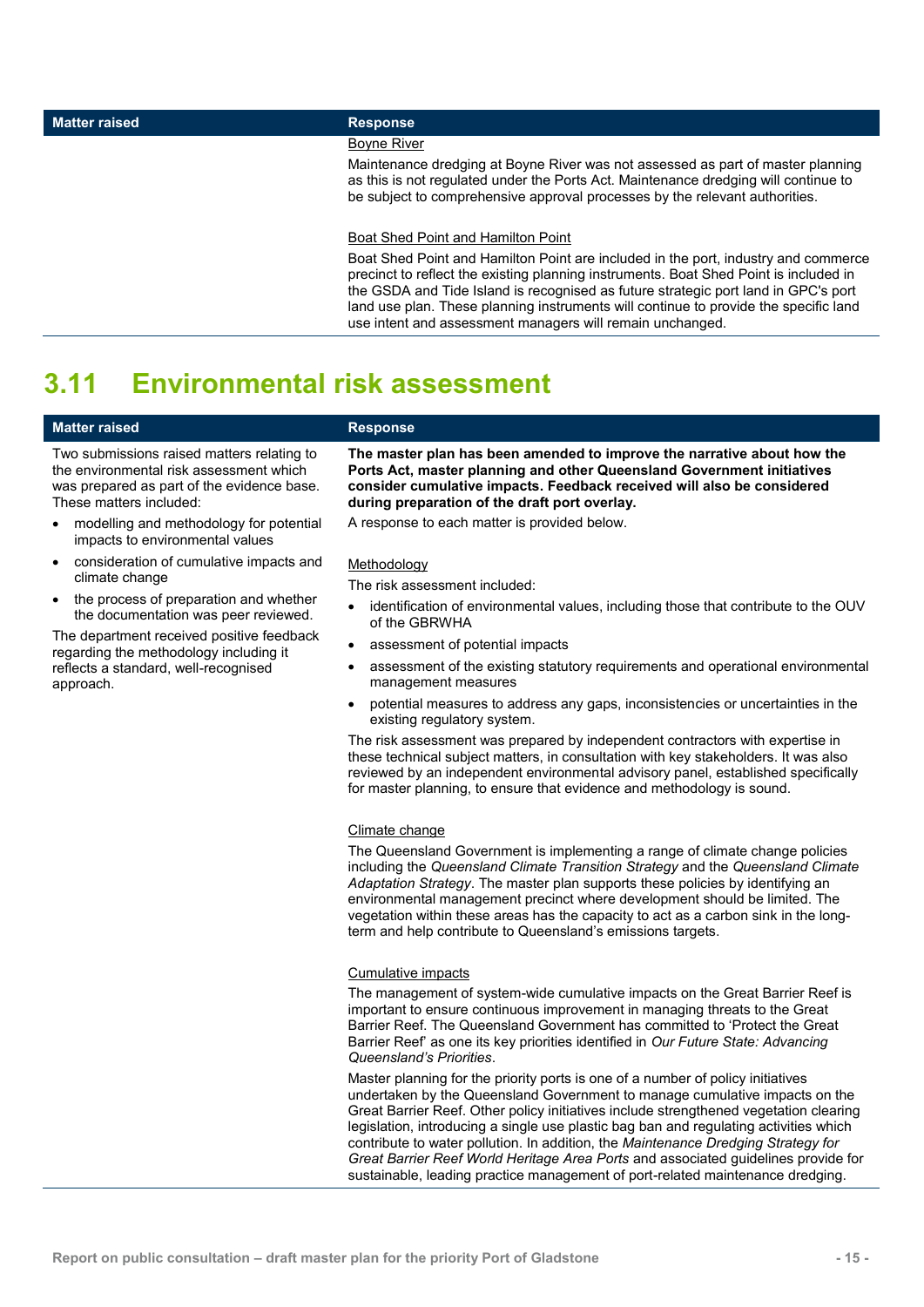#### Boyne River

Maintenance dredging at Boyne River was not assessed as part of master planning as this is not regulated under the Ports Act. Maintenance dredging will continue to be subject to comprehensive approval processes by the relevant authorities.

#### Boat Shed Point and Hamilton Point

Boat Shed Point and Hamilton Point are included in the port, industry and commerce precinct to reflect the existing planning instruments. Boat Shed Point is included in the GSDA and Tide Island is recognised as future strategic port land in GPC's port land use plan. These planning instruments will continue to provide the specific land use intent and assessment managers will remain unchanged.

### <span id="page-17-0"></span>**3.11 Environmental risk assessment**

#### **Matter raised Matter raised Response**

Two submissions raised matters relating to the environmental risk assessment which was prepared as part of the evidence base. These matters included:

- modelling and methodology for potential impacts to environmental values
- consideration of cumulative impacts and climate change
- the process of preparation and whether the documentation was peer reviewed.

The department received positive feedback regarding the methodology including it reflects a standard, well-recognised approach.

**The master plan has been amended to improve the narrative about how the Ports Act, master planning and other Queensland Government initiatives consider cumulative impacts. Feedback received will also be considered during preparation of the draft port overlay.**

A response to each matter is provided below.

#### Methodology

The risk assessment included:

- identification of environmental values, including those that contribute to the OUV of the GBRWHA
- assessment of potential impacts
- assessment of the existing statutory requirements and operational environmental management measures
- potential measures to address any gaps, inconsistencies or uncertainties in the existing regulatory system.

The risk assessment was prepared by independent contractors with expertise in these technical subject matters, in consultation with key stakeholders. It was also reviewed by an independent environmental advisory panel, established specifically for master planning, to ensure that evidence and methodology is sound.

#### Climate change

The Queensland Government is implementing a range of climate change policies including the *Queensland Climate Transition Strategy* and the *Queensland Climate Adaptation Strategy*. The master plan supports these policies by identifying an environmental management precinct where development should be limited. The vegetation within these areas has the capacity to act as a carbon sink in the longterm and help contribute to Queensland's emissions targets.

#### Cumulative impacts

The management of system-wide cumulative impacts on the Great Barrier Reef is important to ensure continuous improvement in managing threats to the Great Barrier Reef. The Queensland Government has committed to 'Protect the Great Barrier Reef' as one its key priorities identified in *Our Future State: Advancing Queensland's Priorities*.

Master planning for the priority ports is one of a number of policy initiatives undertaken by the Queensland Government to manage cumulative impacts on the Great Barrier Reef. Other policy initiatives include strengthened vegetation clearing legislation, introducing a single use plastic bag ban and regulating activities which contribute to water pollution. In addition, the *Maintenance Dredging Strategy for Great Barrier Reef World Heritage Area Ports* and associated guidelines provide for sustainable, leading practice management of port-related maintenance dredging.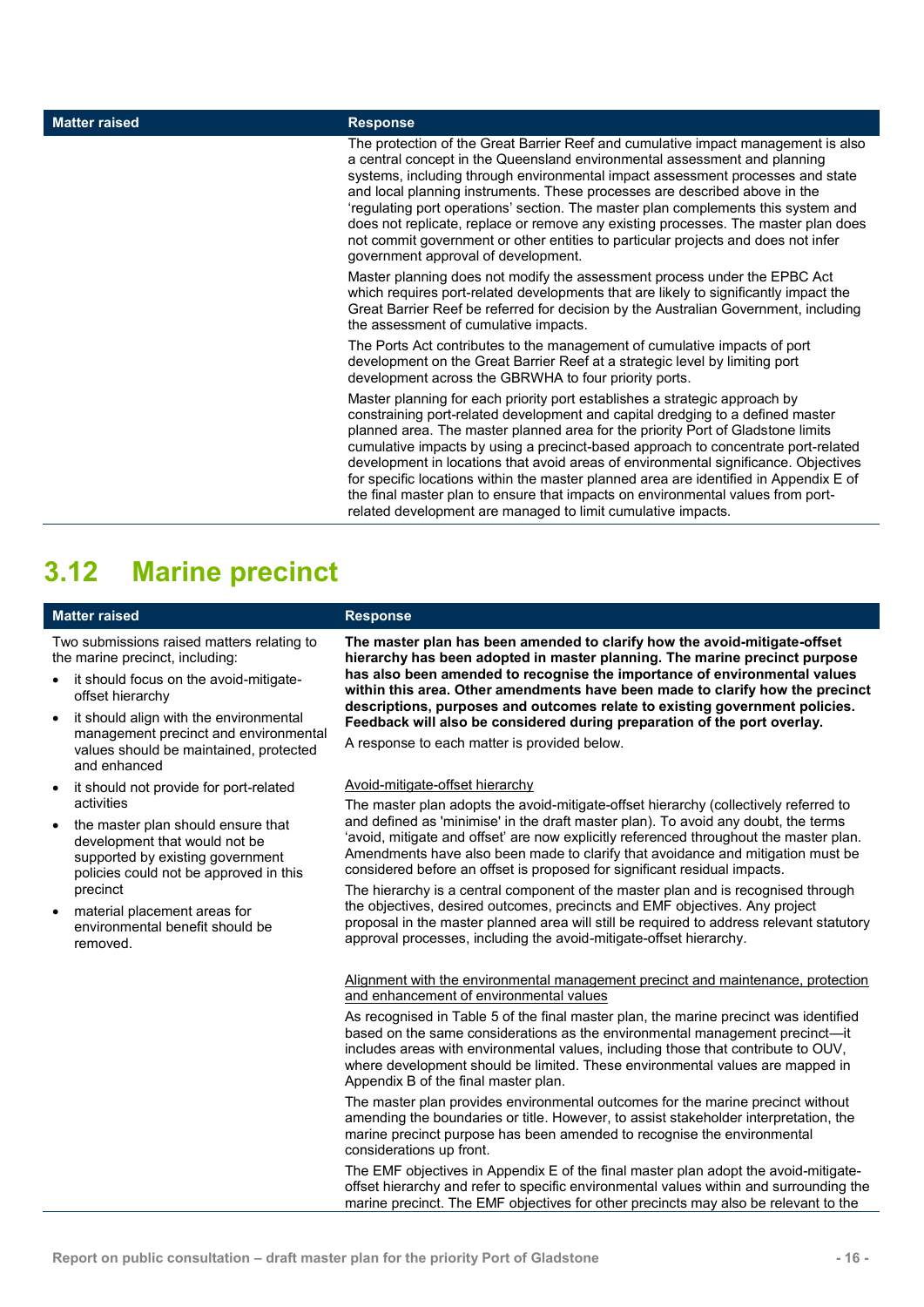### **Matter raised Matter raised Response** The protection of the Great Barrier Reef and cumulative impact management is also a central concept in the Queensland environmental assessment and planning systems, including through environmental impact assessment processes and state and local planning instruments. These processes are described above in the 'regulating port operations' section. The master plan complements this system and does not replicate, replace or remove any existing processes. The master plan does not commit government or other entities to particular projects and does not infer government approval of development. Master planning does not modify the assessment process under the EPBC Act which requires port-related developments that are likely to significantly impact the Great Barrier Reef be referred for decision by the Australian Government, including the assessment of cumulative impacts. The Ports Act contributes to the management of cumulative impacts of port development on the Great Barrier Reef at a strategic level by limiting port development across the GBRWHA to four priority ports. Master planning for each priority port establishes a strategic approach by constraining port-related development and capital dredging to a defined master planned area. The master planned area for the priority Port of Gladstone limits cumulative impacts by using a precinct-based approach to concentrate port-related development in locations that avoid areas of environmental significance. Objectives for specific locations within the master planned area are identified in Appendix E of the final master plan to ensure that impacts on environmental values from port-

### <span id="page-18-0"></span>**3.12 Marine precinct**

### **Matter raised Response**

Two submissions raised matters relating to the marine precinct, including:

- it should focus on the avoid-mitigateoffset hierarchy
- it should align with the environmental management precinct and environmental values should be maintained, protected and enhanced
- it should not provide for port-related activities
- the master plan should ensure that development that would not be supported by existing government policies could not be approved in this precinct
- material placement areas for environmental benefit should be removed.

**The master plan has been amended to clarify how the avoid-mitigate-offset hierarchy has been adopted in master planning. The marine precinct purpose has also been amended to recognise the importance of environmental values within this area. Other amendments have been made to clarify how the precinct descriptions, purposes and outcomes relate to existing government policies. Feedback will also be considered during preparation of the port overlay.** 

A response to each matter is provided below.

related development are managed to limit cumulative impacts.

### Avoid-mitigate-offset hierarchy

The master plan adopts the avoid-mitigate-offset hierarchy (collectively referred to and defined as 'minimise' in the draft master plan). To avoid any doubt, the terms 'avoid, mitigate and offset' are now explicitly referenced throughout the master plan. Amendments have also been made to clarify that avoidance and mitigation must be considered before an offset is proposed for significant residual impacts.

The hierarchy is a central component of the master plan and is recognised through the objectives, desired outcomes, precincts and EMF objectives. Any project proposal in the master planned area will still be required to address relevant statutory approval processes, including the avoid-mitigate-offset hierarchy.

### Alignment with the environmental management precinct and maintenance, protection and enhancement of environmental values

As recognised in Table 5 of the final master plan, the marine precinct was identified based on the same considerations as the environmental management precinct—it includes areas with environmental values, including those that contribute to OUV, where development should be limited. These environmental values are mapped in Appendix B of the final master plan.

The master plan provides environmental outcomes for the marine precinct without amending the boundaries or title. However, to assist stakeholder interpretation, the marine precinct purpose has been amended to recognise the environmental considerations up front.

The EMF objectives in Appendix E of the final master plan adopt the avoid-mitigateoffset hierarchy and refer to specific environmental values within and surrounding the marine precinct. The EMF objectives for other precincts may also be relevant to the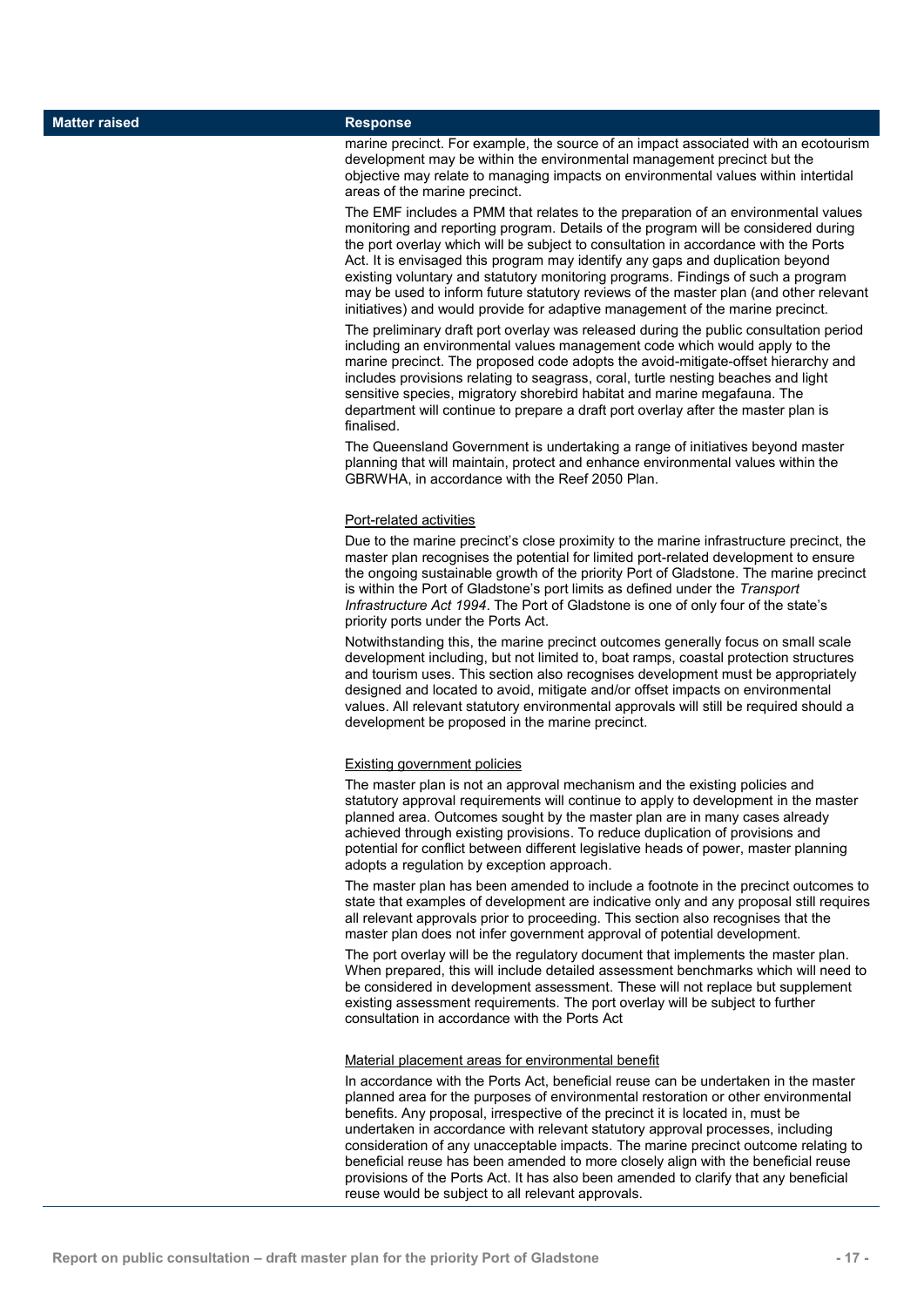marine precinct. For example, the source of an impact associated with an ecotourism development may be within the environmental management precinct but the objective may relate to managing impacts on environmental values within intertidal areas of the marine precinct.

The EMF includes a PMM that relates to the preparation of an environmental values monitoring and reporting program. Details of the program will be considered during the port overlay which will be subject to consultation in accordance with the Ports Act. It is envisaged this program may identify any gaps and duplication beyond existing voluntary and statutory monitoring programs. Findings of such a program may be used to inform future statutory reviews of the master plan (and other relevant initiatives) and would provide for adaptive management of the marine precinct. The preliminary draft port overlay was released during the public consultation period including an environmental values management code which would apply to the marine precinct. The proposed code adopts the avoid-mitigate-offset hierarchy and includes provisions relating to seagrass, coral, turtle nesting beaches and light

sensitive species, migratory shorebird habitat and marine megafauna. The department will continue to prepare a draft port overlay after the master plan is finalised.

The Queensland Government is undertaking a range of initiatives beyond master planning that will maintain, protect and enhance environmental values within the GBRWHA, in accordance with the Reef 2050 Plan.

#### Port-related activities

Due to the marine precinct's close proximity to the marine infrastructure precinct, the master plan recognises the potential for limited port-related development to ensure the ongoing sustainable growth of the priority Port of Gladstone. The marine precinct is within the Port of Gladstone's port limits as defined under the *Transport Infrastructure Act 1994*. The Port of Gladstone is one of only four of the state's priority ports under the Ports Act.

Notwithstanding this, the marine precinct outcomes generally focus on small scale development including, but not limited to, boat ramps, coastal protection structures and tourism uses. This section also recognises development must be appropriately designed and located to avoid, mitigate and/or offset impacts on environmental values. All relevant statutory environmental approvals will still be required should a development be proposed in the marine precinct.

#### Existing government policies

The master plan is not an approval mechanism and the existing policies and statutory approval requirements will continue to apply to development in the master planned area. Outcomes sought by the master plan are in many cases already achieved through existing provisions. To reduce duplication of provisions and potential for conflict between different legislative heads of power, master planning adopts a regulation by exception approach.

The master plan has been amended to include a footnote in the precinct outcomes to state that examples of development are indicative only and any proposal still requires all relevant approvals prior to proceeding. This section also recognises that the master plan does not infer government approval of potential development.

The port overlay will be the regulatory document that implements the master plan. When prepared, this will include detailed assessment benchmarks which will need to be considered in development assessment. These will not replace but supplement existing assessment requirements. The port overlay will be subject to further consultation in accordance with the Ports Act

#### Material placement areas for environmental benefit

In accordance with the Ports Act, beneficial reuse can be undertaken in the master planned area for the purposes of environmental restoration or other environmental benefits. Any proposal, irrespective of the precinct it is located in, must be undertaken in accordance with relevant statutory approval processes, including consideration of any unacceptable impacts. The marine precinct outcome relating to beneficial reuse has been amended to more closely align with the beneficial reuse provisions of the Ports Act. It has also been amended to clarify that any beneficial reuse would be subject to all relevant approvals.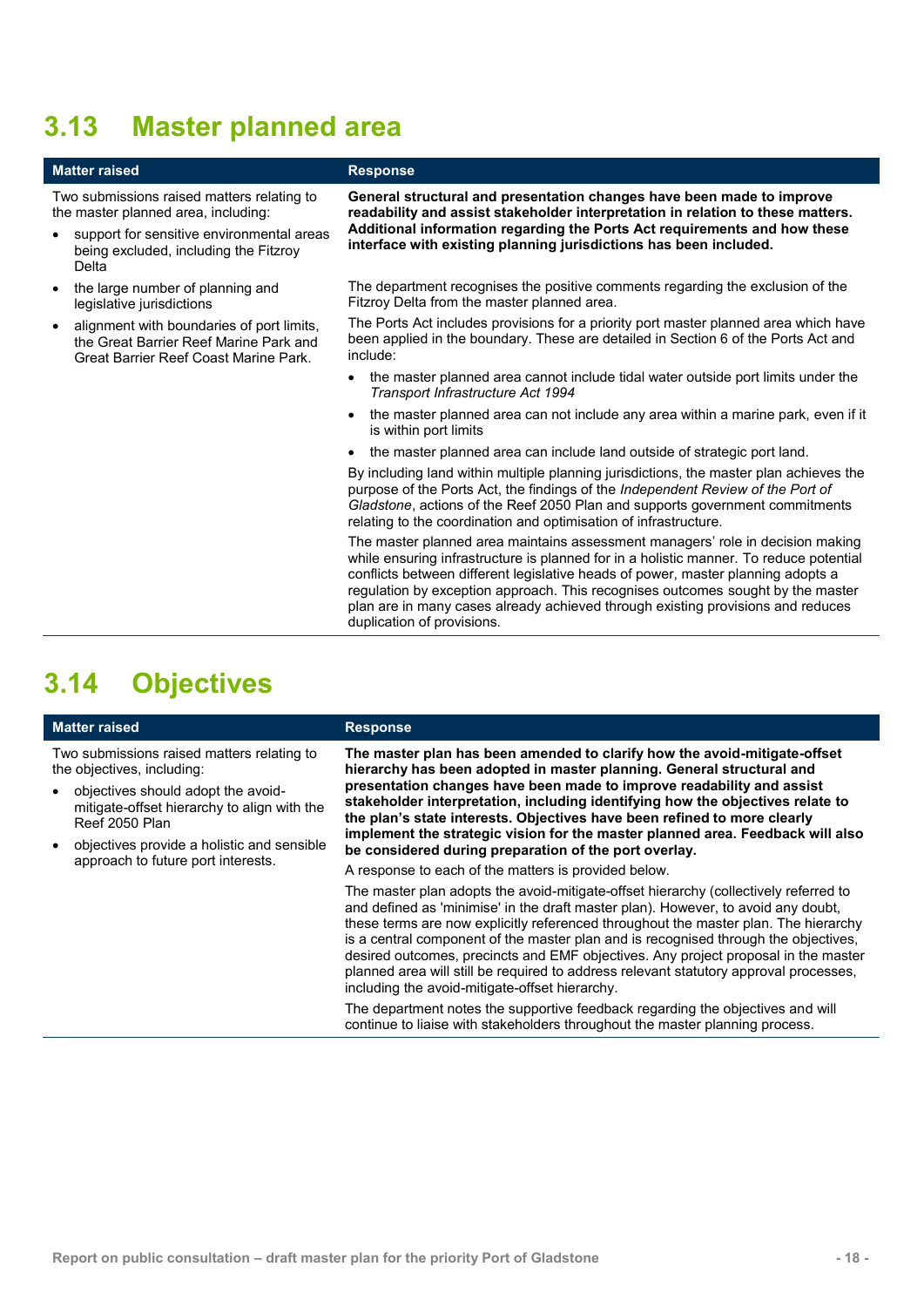### <span id="page-20-0"></span>**3.13 Master planned area**

#### **Matter raised Response** Two submissions raised matters relating to the master planned area, including: support for sensitive environmental areas being excluded, including the Fitzroy **Delta** • the large number of planning and legislative jurisdictions • alignment with boundaries of port limits, the Great Barrier Reef Marine Park and Great Barrier Reef Coast Marine Park. **General structural and presentation changes have been made to improve readability and assist stakeholder interpretation in relation to these matters. Additional information regarding the Ports Act requirements and how these interface with existing planning jurisdictions has been included.** The department recognises the positive comments regarding the exclusion of the Fitzroy Delta from the master planned area. The Ports Act includes provisions for a priority port master planned area which have been applied in the boundary. These are detailed in Section 6 of the Ports Act and include: • the master planned area cannot include tidal water outside port limits under the *Transport Infrastructure Act 1994* • the master planned area can not include any area within a marine park, even if it is within port limits

the master planned area can include land outside of strategic port land.

By including land within multiple planning jurisdictions, the master plan achieves the purpose of the Ports Act, the findings of the *Independent Review of the Port of Gladstone*, actions of the Reef 2050 Plan and supports government commitments relating to the coordination and optimisation of infrastructure.

The master planned area maintains assessment managers' role in decision making while ensuring infrastructure is planned for in a holistic manner. To reduce potential conflicts between different legislative heads of power, master planning adopts a regulation by exception approach. This recognises outcomes sought by the master plan are in many cases already achieved through existing provisions and reduces duplication of provisions.

## <span id="page-20-1"></span>**3.14 Objectives**

| <b>Matter raised</b>                                                                                                                                                                                                          | <b>Response</b>                                                                                                                                                                                                                                                                                                                                                                                                                                                                                                                                                                          |  |
|-------------------------------------------------------------------------------------------------------------------------------------------------------------------------------------------------------------------------------|------------------------------------------------------------------------------------------------------------------------------------------------------------------------------------------------------------------------------------------------------------------------------------------------------------------------------------------------------------------------------------------------------------------------------------------------------------------------------------------------------------------------------------------------------------------------------------------|--|
| Two submissions raised matters relating to<br>the objectives, including:<br>objectives should adopt the avoid-<br>mitigate-offset hierarchy to align with the<br>Reef 2050 Plan<br>objectives provide a holistic and sensible | The master plan has been amended to clarify how the avoid-mitigate-offset<br>hierarchy has been adopted in master planning. General structural and<br>presentation changes have been made to improve readability and assist<br>stakeholder interpretation, including identifying how the objectives relate to<br>the plan's state interests. Objectives have been refined to more clearly<br>implement the strategic vision for the master planned area. Feedback will also<br>be considered during preparation of the port overlay.                                                     |  |
| approach to future port interests.                                                                                                                                                                                            | A response to each of the matters is provided below.                                                                                                                                                                                                                                                                                                                                                                                                                                                                                                                                     |  |
|                                                                                                                                                                                                                               | The master plan adopts the avoid-mitigate-offset hierarchy (collectively referred to<br>and defined as 'minimise' in the draft master plan). However, to avoid any doubt,<br>these terms are now explicitly referenced throughout the master plan. The hierarchy<br>is a central component of the master plan and is recognised through the objectives,<br>desired outcomes, precincts and EMF objectives. Any project proposal in the master<br>planned area will still be required to address relevant statutory approval processes,<br>including the avoid-mitigate-offset hierarchy. |  |
|                                                                                                                                                                                                                               | The department notes the supportive feedback regarding the objectives and will<br>continue to liaise with stakeholders throughout the master planning process.                                                                                                                                                                                                                                                                                                                                                                                                                           |  |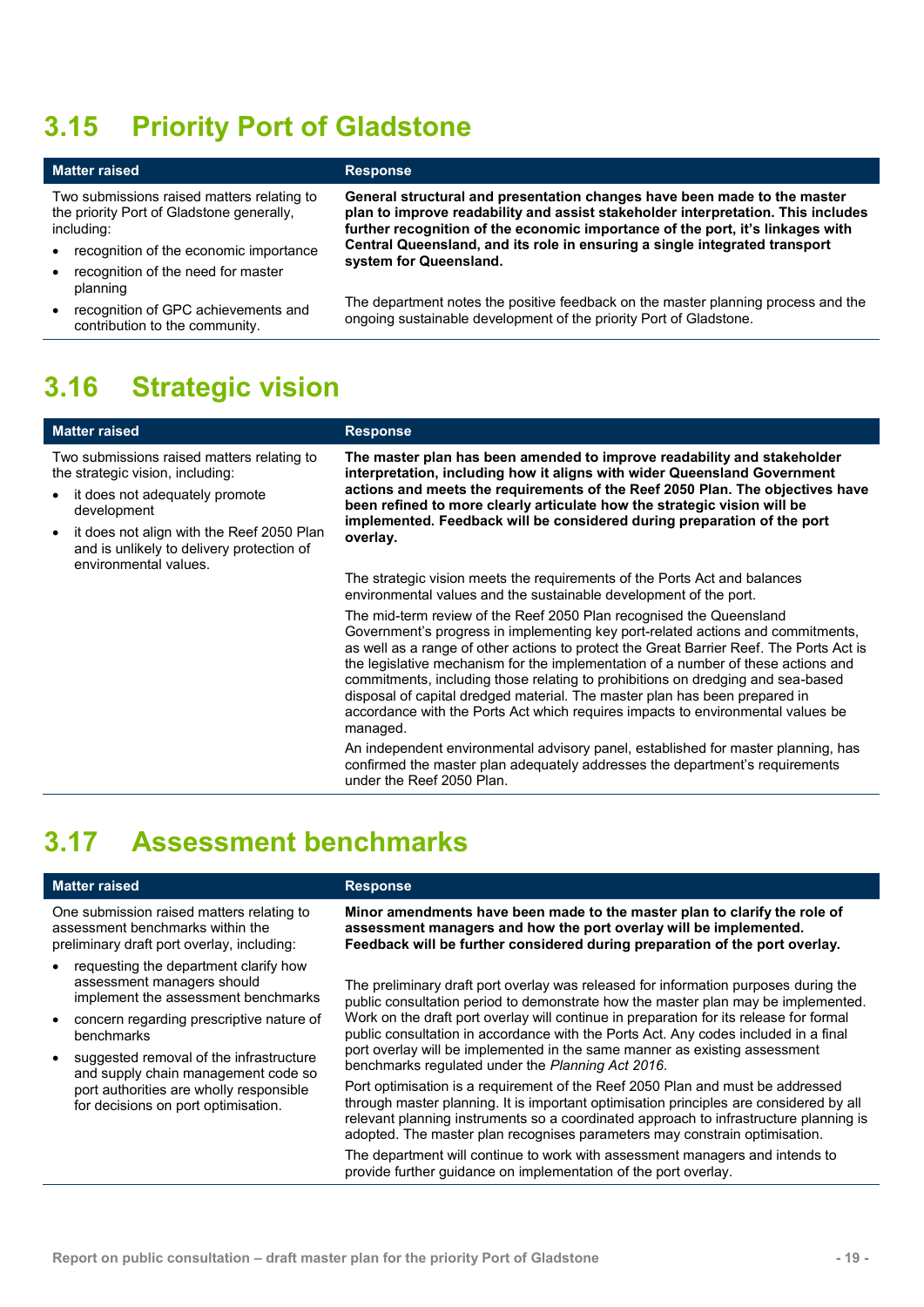### <span id="page-21-0"></span>**3.15 Priority Port of Gladstone**

| <b>Matter raised</b>                                                                                  | <b>Response</b>                                                                                                                                                                                                                                |  |
|-------------------------------------------------------------------------------------------------------|------------------------------------------------------------------------------------------------------------------------------------------------------------------------------------------------------------------------------------------------|--|
| Two submissions raised matters relating to<br>the priority Port of Gladstone generally,<br>including: | General structural and presentation changes have been made to the master<br>plan to improve readability and assist stakeholder interpretation. This includes<br>further recognition of the economic importance of the port, it's linkages with |  |
| recognition of the economic importance                                                                | Central Queensland, and its role in ensuring a single integrated transport<br>system for Queensland.                                                                                                                                           |  |
| recognition of the need for master<br>planning                                                        |                                                                                                                                                                                                                                                |  |
| recognition of GPC achievements and<br>$\bullet$<br>contribution to the community.                    | The department notes the positive feedback on the master planning process and the<br>ongoing sustainable development of the priority Port of Gladstone.                                                                                        |  |

### <span id="page-21-1"></span>**3.16 Strategic vision**

| <b>Matter raised</b>                                                                                                         | <b>Response</b>                                                                                                                                                                                                                                                                                                                                                                                                                                                                                                                                                                                        |  |
|------------------------------------------------------------------------------------------------------------------------------|--------------------------------------------------------------------------------------------------------------------------------------------------------------------------------------------------------------------------------------------------------------------------------------------------------------------------------------------------------------------------------------------------------------------------------------------------------------------------------------------------------------------------------------------------------------------------------------------------------|--|
| Two submissions raised matters relating to<br>the strategic vision, including:                                               | The master plan has been amended to improve readability and stakeholder<br>interpretation, including how it aligns with wider Queensland Government<br>actions and meets the requirements of the Reef 2050 Plan. The objectives have<br>been refined to more clearly articulate how the strategic vision will be<br>implemented. Feedback will be considered during preparation of the port<br>overlay.<br>The strategic vision meets the requirements of the Ports Act and balances<br>environmental values and the sustainable development of the port.                                              |  |
| it does not adequately promote<br>development                                                                                |                                                                                                                                                                                                                                                                                                                                                                                                                                                                                                                                                                                                        |  |
| it does not align with the Reef 2050 Plan<br>$\bullet$<br>and is unlikely to delivery protection of<br>environmental values. |                                                                                                                                                                                                                                                                                                                                                                                                                                                                                                                                                                                                        |  |
|                                                                                                                              |                                                                                                                                                                                                                                                                                                                                                                                                                                                                                                                                                                                                        |  |
|                                                                                                                              | The mid-term review of the Reef 2050 Plan recognised the Queensland<br>Government's progress in implementing key port-related actions and commitments,<br>as well as a range of other actions to protect the Great Barrier Reef. The Ports Act is<br>the legislative mechanism for the implementation of a number of these actions and<br>commitments, including those relating to prohibitions on dredging and sea-based<br>disposal of capital dredged material. The master plan has been prepared in<br>accordance with the Ports Act which requires impacts to environmental values be<br>managed. |  |
|                                                                                                                              | An independent environmental advisory panel, established for master planning, has<br>confirmed the master plan adequately addresses the department's requirements                                                                                                                                                                                                                                                                                                                                                                                                                                      |  |

under the Reef 2050 Plan.

### <span id="page-21-2"></span>**3.17 Assessment benchmarks**

| <b>Matter raised</b>                                                                                                        | <b>Response</b>                                                                                                                                                                                                                                                                                                                                 |
|-----------------------------------------------------------------------------------------------------------------------------|-------------------------------------------------------------------------------------------------------------------------------------------------------------------------------------------------------------------------------------------------------------------------------------------------------------------------------------------------|
| One submission raised matters relating to<br>assessment benchmarks within the<br>preliminary draft port overlay, including: | Minor amendments have been made to the master plan to clarify the role of<br>assessment managers and how the port overlay will be implemented.<br>Feedback will be further considered during preparation of the port overlay.                                                                                                                   |
| requesting the department clarify how<br>assessment managers should<br>implement the assessment benchmarks                  | The preliminary draft port overlay was released for information purposes during the<br>public consultation period to demonstrate how the master plan may be implemented.                                                                                                                                                                        |
| concern regarding prescriptive nature of<br>benchmarks                                                                      | Work on the draft port overlay will continue in preparation for its release for formal<br>public consultation in accordance with the Ports Act. Any codes included in a final                                                                                                                                                                   |
| suggested removal of the infrastructure<br>and supply chain management code so                                              | port overlay will be implemented in the same manner as existing assessment<br>benchmarks regulated under the Planning Act 2016.                                                                                                                                                                                                                 |
| port authorities are wholly responsible<br>for decisions on port optimisation.                                              | Port optimisation is a requirement of the Reef 2050 Plan and must be addressed<br>through master planning. It is important optimisation principles are considered by all<br>relevant planning instruments so a coordinated approach to infrastructure planning is<br>adopted. The master plan recognises parameters may constrain optimisation. |
|                                                                                                                             | The department will continue to work with assessment managers and intends to                                                                                                                                                                                                                                                                    |

The department will continue to work with assessment managers and intends to provide further guidance on implementation of the port overlay.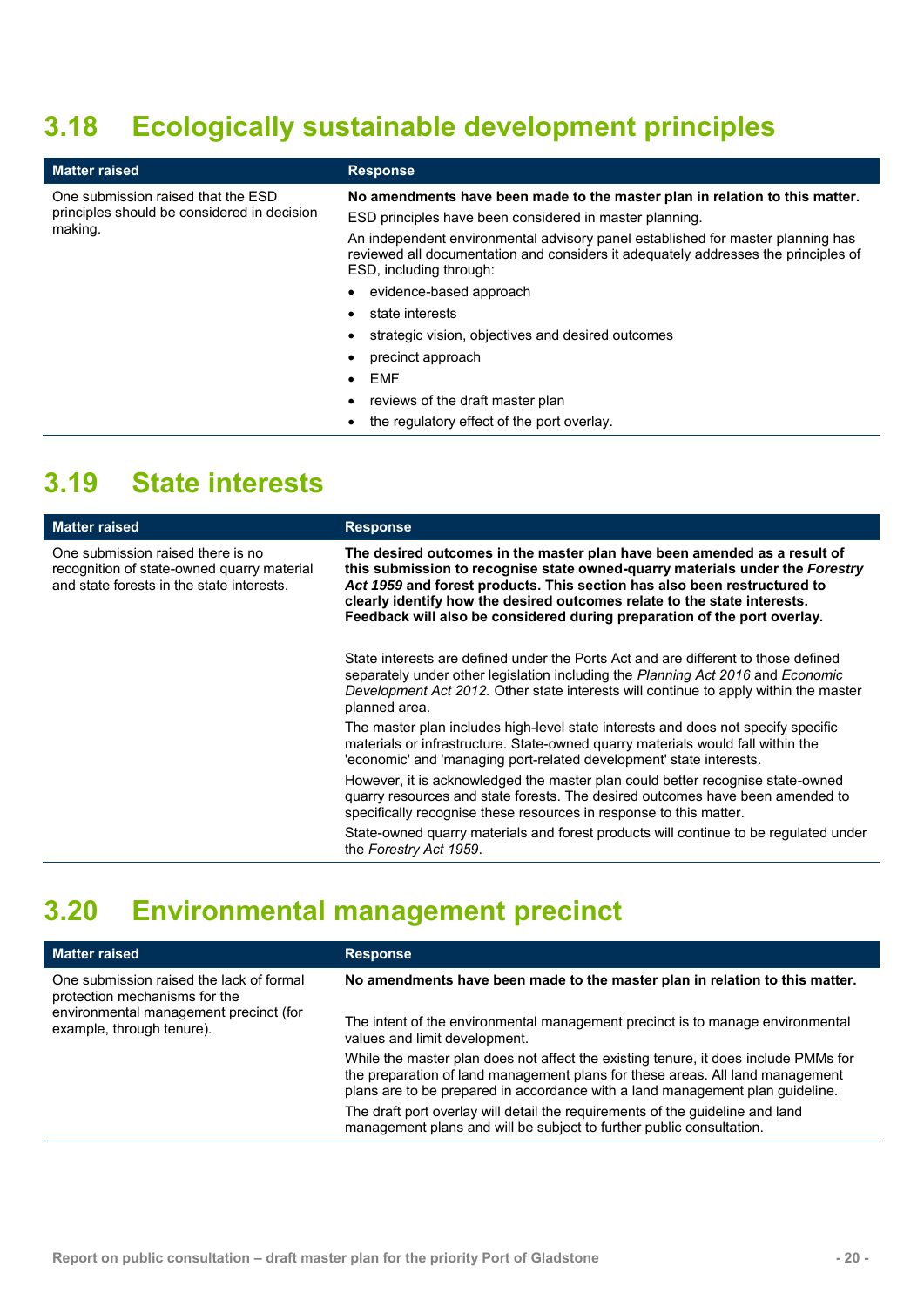### <span id="page-22-0"></span>**3.18 Ecologically sustainable development principles**

| <b>Matter raised</b>                                                                         | <b>Response</b>                                                                                                                                                                                                                                                                                                                                                                                                                                                                                                                                                                                                 |
|----------------------------------------------------------------------------------------------|-----------------------------------------------------------------------------------------------------------------------------------------------------------------------------------------------------------------------------------------------------------------------------------------------------------------------------------------------------------------------------------------------------------------------------------------------------------------------------------------------------------------------------------------------------------------------------------------------------------------|
| One submission raised that the ESD<br>principles should be considered in decision<br>making. | No amendments have been made to the master plan in relation to this matter.<br>ESD principles have been considered in master planning.<br>An independent environmental advisory panel established for master planning has<br>reviewed all documentation and considers it adequately addresses the principles of<br>ESD, including through:<br>evidence-based approach<br>state interests<br>$\bullet$<br>strategic vision, objectives and desired outcomes<br>precinct approach<br>$\bullet$<br>EMF<br>$\bullet$<br>reviews of the draft master plan<br>$\bullet$<br>the regulatory effect of the port overlay. |

### <span id="page-22-1"></span>**3.19 State interests**

| <b>Matter raised</b>                                                                                                         | <b>Response</b>                                                                                                                                                                                                                                                                                                                                                                              |
|------------------------------------------------------------------------------------------------------------------------------|----------------------------------------------------------------------------------------------------------------------------------------------------------------------------------------------------------------------------------------------------------------------------------------------------------------------------------------------------------------------------------------------|
| One submission raised there is no<br>recognition of state-owned quarry material<br>and state forests in the state interests. | The desired outcomes in the master plan have been amended as a result of<br>this submission to recognise state owned-quarry materials under the Forestry<br>Act 1959 and forest products. This section has also been restructured to<br>clearly identify how the desired outcomes relate to the state interests.<br>Feedback will also be considered during preparation of the port overlay. |
|                                                                                                                              | State interests are defined under the Ports Act and are different to those defined<br>separately under other legislation including the Planning Act 2016 and Economic<br>Development Act 2012. Other state interests will continue to apply within the master<br>planned area.                                                                                                               |
|                                                                                                                              | The master plan includes high-level state interests and does not specify specific<br>materials or infrastructure. State-owned quarry materials would fall within the<br>'economic' and 'managing port-related development' state interests.                                                                                                                                                  |
|                                                                                                                              | However, it is acknowledged the master plan could better recognise state-owned<br>quarry resources and state forests. The desired outcomes have been amended to<br>specifically recognise these resources in response to this matter.                                                                                                                                                        |
|                                                                                                                              | State-owned quarry materials and forest products will continue to be regulated under<br>the Forestry Act 1959.                                                                                                                                                                                                                                                                               |

### <span id="page-22-2"></span>**3.20 Environmental management precinct**

| <b>Matter raised</b>                                                                                                                             | <b>Response</b>                                                                                                                                                                                                                                       |
|--------------------------------------------------------------------------------------------------------------------------------------------------|-------------------------------------------------------------------------------------------------------------------------------------------------------------------------------------------------------------------------------------------------------|
| One submission raised the lack of formal<br>protection mechanisms for the<br>environmental management precinct (for<br>example, through tenure). | No amendments have been made to the master plan in relation to this matter.                                                                                                                                                                           |
|                                                                                                                                                  | The intent of the environmental management precinct is to manage environmental<br>values and limit development.                                                                                                                                       |
|                                                                                                                                                  | While the master plan does not affect the existing tenure, it does include PMMs for<br>the preparation of land management plans for these areas. All land management<br>plans are to be prepared in accordance with a land management plan guideline. |
|                                                                                                                                                  | The draft port overlay will detail the requirements of the guideline and land<br>management plans and will be subject to further public consultation.                                                                                                 |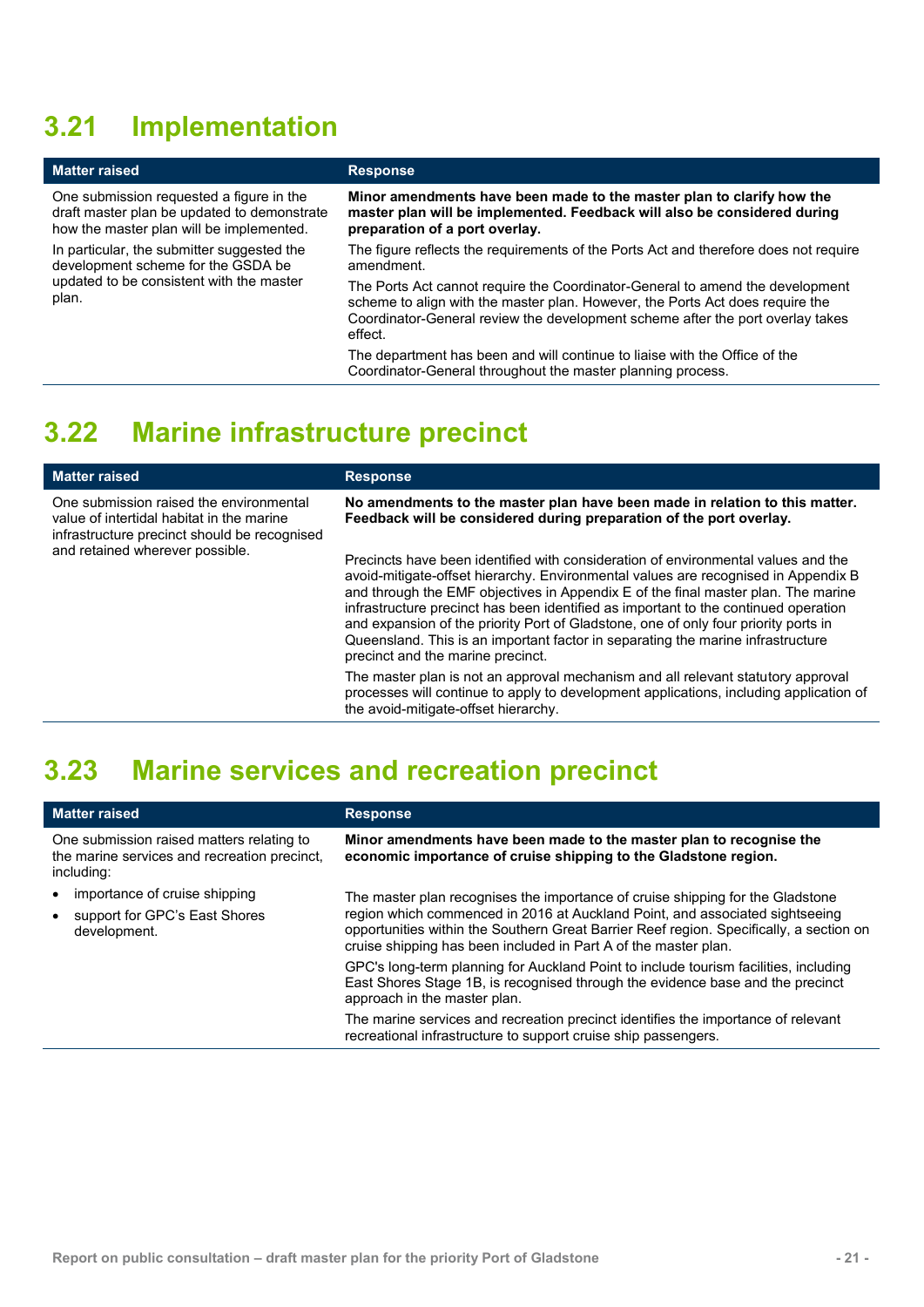### <span id="page-23-0"></span>**3.21 Implementation**

| <b>Matter raised</b>                                                                                                                  | <b>Response</b>                                                                                                                                                                                                                                             |
|---------------------------------------------------------------------------------------------------------------------------------------|-------------------------------------------------------------------------------------------------------------------------------------------------------------------------------------------------------------------------------------------------------------|
| One submission requested a figure in the<br>draft master plan be updated to demonstrate<br>how the master plan will be implemented.   | Minor amendments have been made to the master plan to clarify how the<br>master plan will be implemented. Feedback will also be considered during<br>preparation of a port overlay.                                                                         |
| In particular, the submitter suggested the<br>development scheme for the GSDA be<br>updated to be consistent with the master<br>plan. | The figure reflects the requirements of the Ports Act and therefore does not require<br>amendment.                                                                                                                                                          |
|                                                                                                                                       | The Ports Act cannot require the Coordinator-General to amend the development<br>scheme to align with the master plan. However, the Ports Act does require the<br>Coordinator-General review the development scheme after the port overlay takes<br>effect. |
|                                                                                                                                       | The department has been and will continue to liaise with the Office of the<br>Coordinator-General throughout the master planning process.                                                                                                                   |

### <span id="page-23-1"></span>**3.22 Marine infrastructure precinct**

| <b>Matter raised</b>                                                                                                                                                    | <b>Response</b>                                                                                                                                                                                                                                                                                                                                                                                                                                                                                                                                                    |
|-------------------------------------------------------------------------------------------------------------------------------------------------------------------------|--------------------------------------------------------------------------------------------------------------------------------------------------------------------------------------------------------------------------------------------------------------------------------------------------------------------------------------------------------------------------------------------------------------------------------------------------------------------------------------------------------------------------------------------------------------------|
| One submission raised the environmental<br>value of intertidal habitat in the marine<br>infrastructure precinct should be recognised<br>and retained wherever possible. | No amendments to the master plan have been made in relation to this matter.<br>Feedback will be considered during preparation of the port overlay.                                                                                                                                                                                                                                                                                                                                                                                                                 |
|                                                                                                                                                                         | Precincts have been identified with consideration of environmental values and the<br>avoid-mitigate-offset hierarchy. Environmental values are recognised in Appendix B<br>and through the EMF objectives in Appendix E of the final master plan. The marine<br>infrastructure precinct has been identified as important to the continued operation<br>and expansion of the priority Port of Gladstone, one of only four priority ports in<br>Queensland. This is an important factor in separating the marine infrastructure<br>precinct and the marine precinct. |
|                                                                                                                                                                         | The master plan is not an approval mechanism and all relevant statutory approval<br>processes will continue to apply to development applications, including application of<br>the avoid-mitigate-offset hierarchy.                                                                                                                                                                                                                                                                                                                                                 |

### <span id="page-23-2"></span>**3.23 Marine services and recreation precinct**

| <b>Matter raised</b>                                                                                    | <b>Response</b>                                                                                                                                                                                                                                                                                                              |
|---------------------------------------------------------------------------------------------------------|------------------------------------------------------------------------------------------------------------------------------------------------------------------------------------------------------------------------------------------------------------------------------------------------------------------------------|
| One submission raised matters relating to<br>the marine services and recreation precinct,<br>including: | Minor amendments have been made to the master plan to recognise the<br>economic importance of cruise shipping to the Gladstone region.                                                                                                                                                                                       |
| importance of cruise shipping<br>support for GPC's East Shores<br>development.                          | The master plan recognises the importance of cruise shipping for the Gladstone<br>region which commenced in 2016 at Auckland Point, and associated sightseeing<br>opportunities within the Southern Great Barrier Reef region. Specifically, a section on<br>cruise shipping has been included in Part A of the master plan. |
|                                                                                                         | GPC's long-term planning for Auckland Point to include tourism facilities, including<br>East Shores Stage 1B, is recognised through the evidence base and the precinct<br>approach in the master plan.                                                                                                                       |
|                                                                                                         | The marine services and recreation precinct identifies the importance of relevant<br>recreational infrastructure to support cruise ship passengers.                                                                                                                                                                          |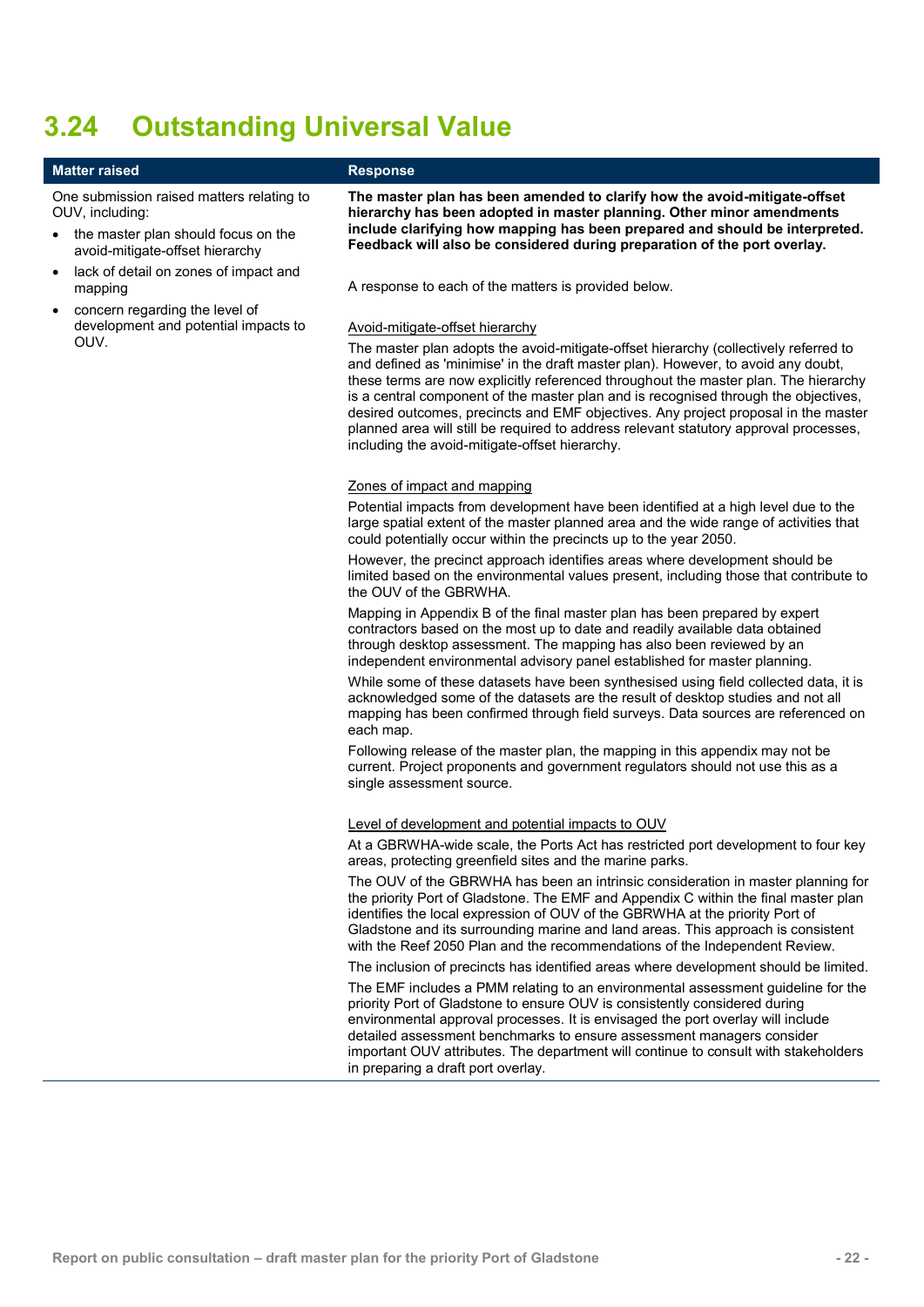### <span id="page-24-0"></span>**3.24 Outstanding Universal Value**

### **Matter raised Response**

One submission raised matters relating to OUV, including:

- the master plan should focus on the avoid-mitigate-offset hierarchy
- lack of detail on zones of impact and mapping
- concern regarding the level of development and potential impacts to OUV.

**The master plan has been amended to clarify how the avoid-mitigate-offset hierarchy has been adopted in master planning. Other minor amendments include clarifying how mapping has been prepared and should be interpreted. Feedback will also be considered during preparation of the port overlay.**

A response to each of the matters is provided below.

### Avoid-mitigate-offset hierarchy

The master plan adopts the avoid-mitigate-offset hierarchy (collectively referred to and defined as 'minimise' in the draft master plan). However, to avoid any doubt, these terms are now explicitly referenced throughout the master plan. The hierarchy is a central component of the master plan and is recognised through the objectives, desired outcomes, precincts and EMF objectives. Any project proposal in the master planned area will still be required to address relevant statutory approval processes, including the avoid-mitigate-offset hierarchy.

### Zones of impact and mapping

Potential impacts from development have been identified at a high level due to the large spatial extent of the master planned area and the wide range of activities that could potentially occur within the precincts up to the year 2050.

However, the precinct approach identifies areas where development should be limited based on the environmental values present, including those that contribute to the OUV of the GBRWHA.

Mapping in Appendix B of the final master plan has been prepared by expert contractors based on the most up to date and readily available data obtained through desktop assessment. The mapping has also been reviewed by an independent environmental advisory panel established for master planning.

While some of these datasets have been synthesised using field collected data, it is acknowledged some of the datasets are the result of desktop studies and not all mapping has been confirmed through field surveys. Data sources are referenced on each map.

Following release of the master plan, the mapping in this appendix may not be current. Project proponents and government regulators should not use this as a single assessment source.

### Level of development and potential impacts to OUV

At a GBRWHA-wide scale, the Ports Act has restricted port development to four key areas, protecting greenfield sites and the marine parks.

The OUV of the GBRWHA has been an intrinsic consideration in master planning for the priority Port of Gladstone. The EMF and Appendix C within the final master plan identifies the local expression of OUV of the GBRWHA at the priority Port of Gladstone and its surrounding marine and land areas. This approach is consistent with the Reef 2050 Plan and the recommendations of the Independent Review.

The inclusion of precincts has identified areas where development should be limited.

The EMF includes a PMM relating to an environmental assessment guideline for the priority Port of Gladstone to ensure OUV is consistently considered during environmental approval processes. It is envisaged the port overlay will include detailed assessment benchmarks to ensure assessment managers consider important OUV attributes. The department will continue to consult with stakeholders in preparing a draft port overlay.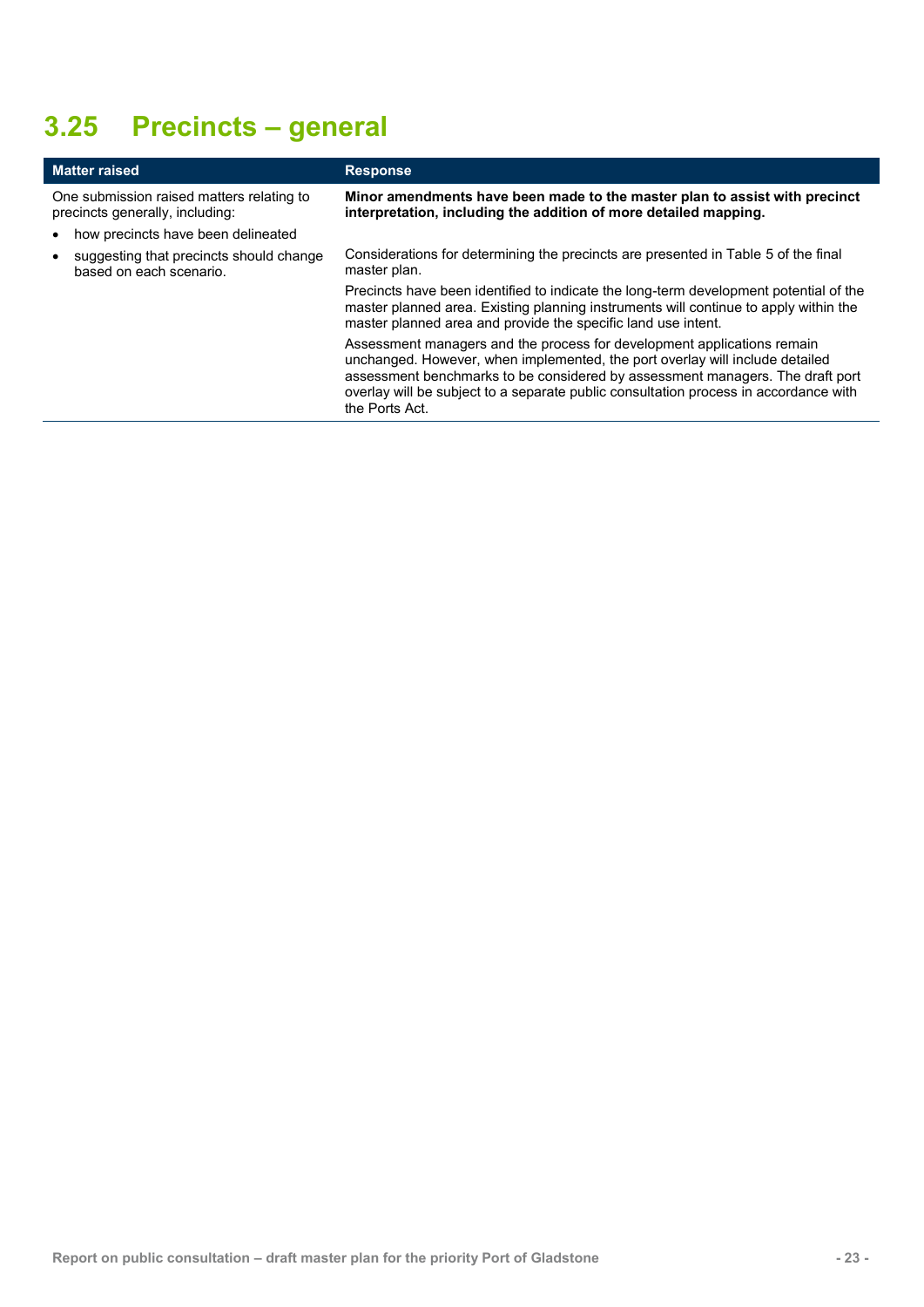## <span id="page-25-0"></span>**3.25 Precincts – general**

| <b>Matter raised</b>                                                         | <b>Response</b>                                                                                                                                                                                                                                                                                                                                    |
|------------------------------------------------------------------------------|----------------------------------------------------------------------------------------------------------------------------------------------------------------------------------------------------------------------------------------------------------------------------------------------------------------------------------------------------|
| One submission raised matters relating to<br>precincts generally, including: | Minor amendments have been made to the master plan to assist with precinct<br>interpretation, including the addition of more detailed mapping.                                                                                                                                                                                                     |
| how precincts have been delineated                                           |                                                                                                                                                                                                                                                                                                                                                    |
| suggesting that precincts should change<br>based on each scenario.           | Considerations for determining the precincts are presented in Table 5 of the final<br>master plan.                                                                                                                                                                                                                                                 |
|                                                                              | Precincts have been identified to indicate the long-term development potential of the<br>master planned area. Existing planning instruments will continue to apply within the<br>master planned area and provide the specific land use intent.                                                                                                     |
|                                                                              | Assessment managers and the process for development applications remain<br>unchanged. However, when implemented, the port overlay will include detailed<br>assessment benchmarks to be considered by assessment managers. The draft port<br>overlay will be subject to a separate public consultation process in accordance with<br>the Ports Act. |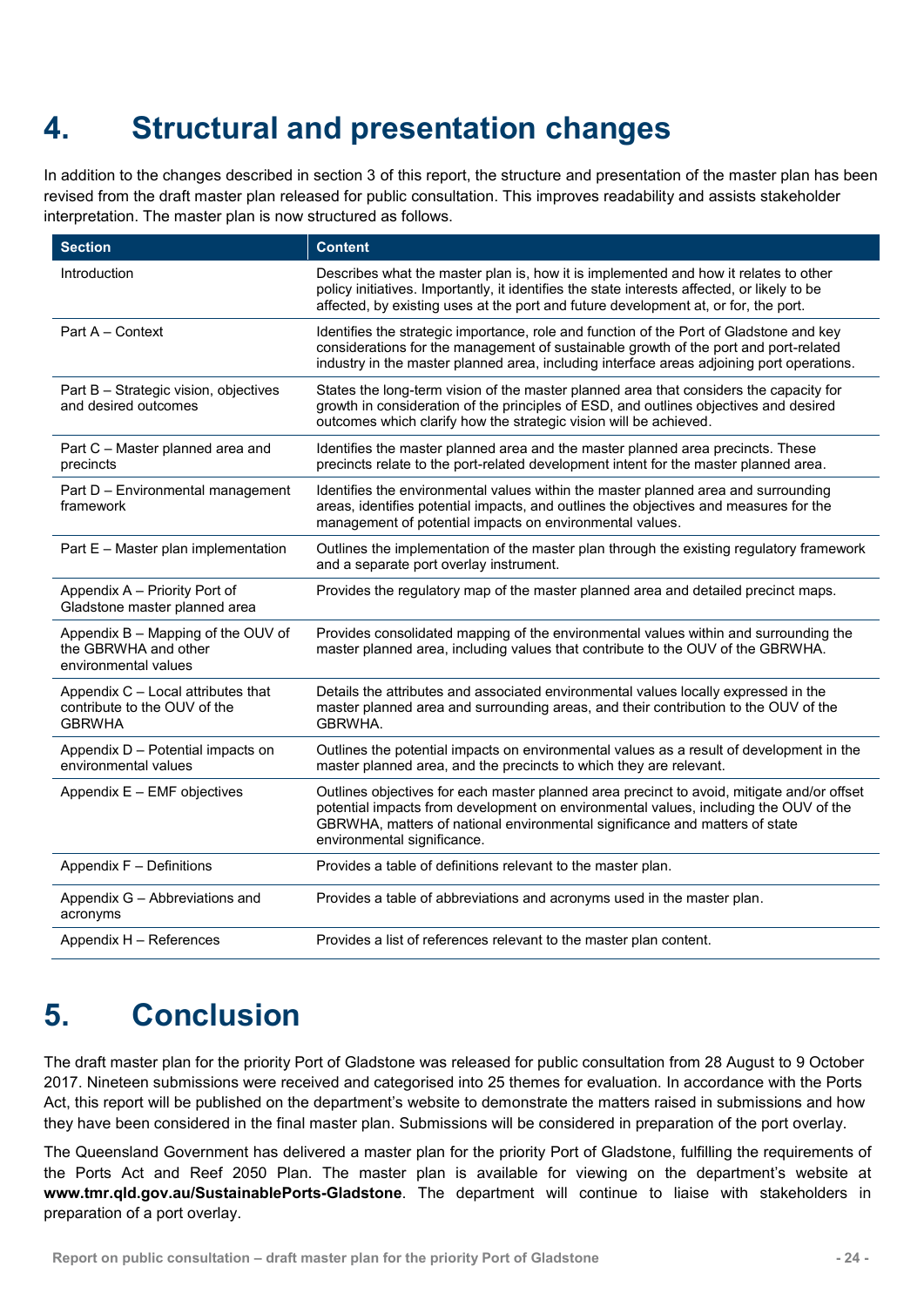## <span id="page-26-0"></span>**4. Structural and presentation changes**

In addition to the changes described in section 3 of this report, the structure and presentation of the master plan has been revised from the draft master plan released for public consultation. This improves readability and assists stakeholder interpretation. The master plan is now structured as follows.

| <b>Section</b>                                                                      | <b>Content</b>                                                                                                                                                                                                                                                                                   |
|-------------------------------------------------------------------------------------|--------------------------------------------------------------------------------------------------------------------------------------------------------------------------------------------------------------------------------------------------------------------------------------------------|
| Introduction                                                                        | Describes what the master plan is, how it is implemented and how it relates to other<br>policy initiatives. Importantly, it identifies the state interests affected, or likely to be<br>affected, by existing uses at the port and future development at, or for, the port.                      |
| Part A - Context                                                                    | Identifies the strategic importance, role and function of the Port of Gladstone and key<br>considerations for the management of sustainable growth of the port and port-related<br>industry in the master planned area, including interface areas adjoining port operations.                     |
| Part B - Strategic vision, objectives<br>and desired outcomes                       | States the long-term vision of the master planned area that considers the capacity for<br>growth in consideration of the principles of ESD, and outlines objectives and desired<br>outcomes which clarify how the strategic vision will be achieved.                                             |
| Part C - Master planned area and<br>precincts                                       | Identifies the master planned area and the master planned area precincts. These<br>precincts relate to the port-related development intent for the master planned area.                                                                                                                          |
| Part D - Environmental management<br>framework                                      | Identifies the environmental values within the master planned area and surrounding<br>areas, identifies potential impacts, and outlines the objectives and measures for the<br>management of potential impacts on environmental values.                                                          |
| Part E - Master plan implementation                                                 | Outlines the implementation of the master plan through the existing regulatory framework<br>and a separate port overlay instrument.                                                                                                                                                              |
| Appendix A - Priority Port of<br>Gladstone master planned area                      | Provides the regulatory map of the master planned area and detailed precinct maps.                                                                                                                                                                                                               |
| Appendix B - Mapping of the OUV of<br>the GBRWHA and other<br>environmental values  | Provides consolidated mapping of the environmental values within and surrounding the<br>master planned area, including values that contribute to the OUV of the GBRWHA.                                                                                                                          |
| Appendix C - Local attributes that<br>contribute to the OUV of the<br><b>GBRWHA</b> | Details the attributes and associated environmental values locally expressed in the<br>master planned area and surrounding areas, and their contribution to the OUV of the<br>GBRWHA.                                                                                                            |
| Appendix D - Potential impacts on<br>environmental values                           | Outlines the potential impacts on environmental values as a result of development in the<br>master planned area, and the precincts to which they are relevant.                                                                                                                                   |
| Appendix $E - EMF$ objectives                                                       | Outlines objectives for each master planned area precinct to avoid, mitigate and/or offset<br>potential impacts from development on environmental values, including the OUV of the<br>GBRWHA, matters of national environmental significance and matters of state<br>environmental significance. |
| Appendix F - Definitions                                                            | Provides a table of definitions relevant to the master plan.                                                                                                                                                                                                                                     |
| Appendix G - Abbreviations and<br>acronyms                                          | Provides a table of abbreviations and acronyms used in the master plan.                                                                                                                                                                                                                          |
| Appendix H - References                                                             | Provides a list of references relevant to the master plan content.                                                                                                                                                                                                                               |

## <span id="page-26-1"></span>**5. Conclusion**

The draft master plan for the priority Port of Gladstone was released for public consultation from 28 August to 9 October 2017. Nineteen submissions were received and categorised into 25 themes for evaluation. In accordance with the Ports Act, this report will be published on the department's website to demonstrate the matters raised in submissions and how they have been considered in the final master plan. Submissions will be considered in preparation of the port overlay.

The Queensland Government has delivered a master plan for the priority Port of Gladstone, fulfilling the requirements of the Ports Act and Reef 2050 Plan. The master plan is available for viewing on the department's website at **www.tmr.qld.gov.au/SustainablePorts-Gladstone**. The department will continue to liaise with stakeholders in preparation of a port overlay.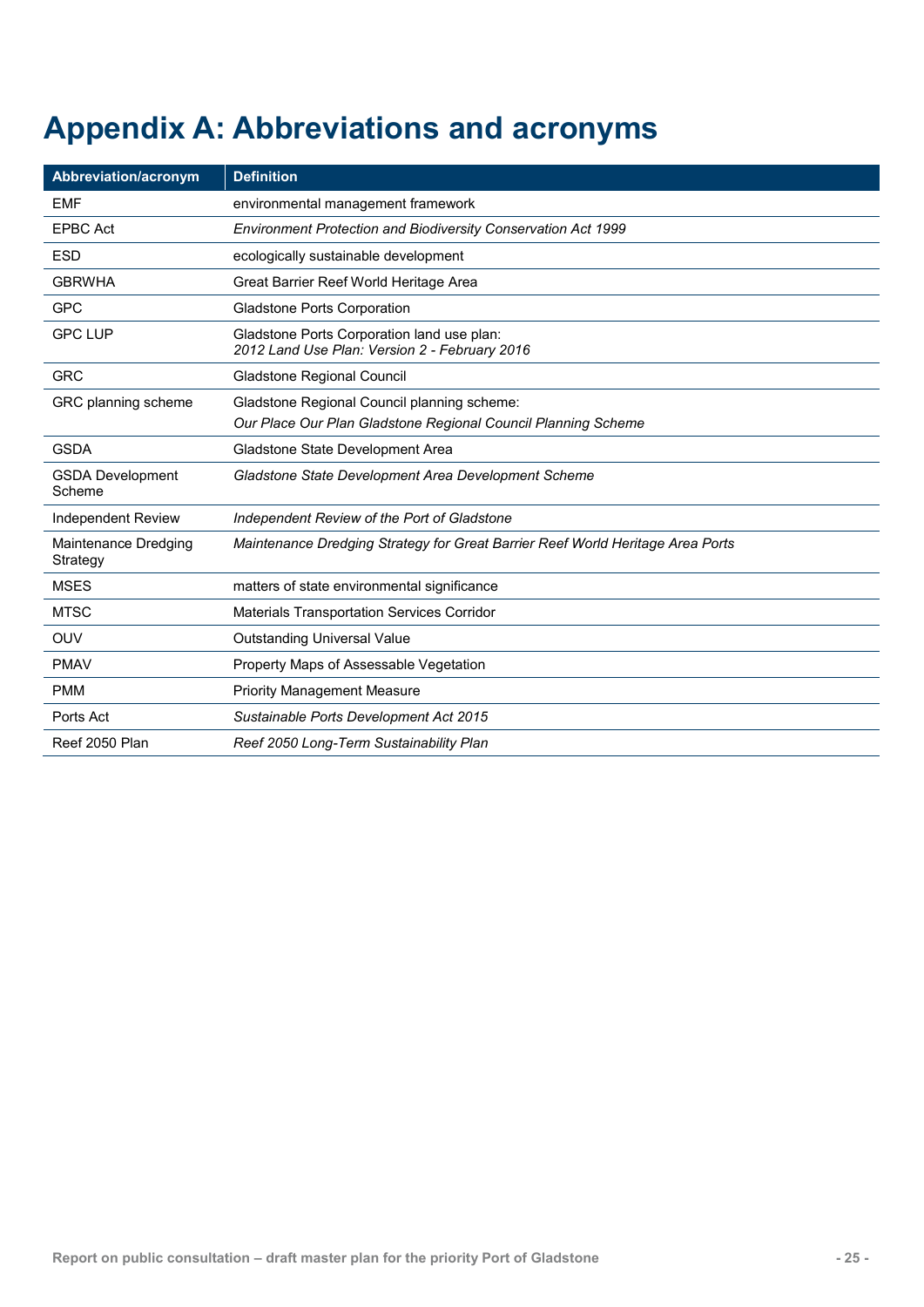## <span id="page-27-0"></span>**Appendix A: Abbreviations and acronyms**

| Abbreviation/acronym              | <b>Definition</b>                                                                           |
|-----------------------------------|---------------------------------------------------------------------------------------------|
| <b>EMF</b>                        | environmental management framework                                                          |
| <b>EPBC Act</b>                   | Environment Protection and Biodiversity Conservation Act 1999                               |
| <b>ESD</b>                        | ecologically sustainable development                                                        |
| <b>GBRWHA</b>                     | Great Barrier Reef World Heritage Area                                                      |
| <b>GPC</b>                        | <b>Gladstone Ports Corporation</b>                                                          |
| <b>GPC LUP</b>                    | Gladstone Ports Corporation land use plan:<br>2012 Land Use Plan: Version 2 - February 2016 |
| <b>GRC</b>                        | Gladstone Regional Council                                                                  |
| GRC planning scheme               | Gladstone Regional Council planning scheme:                                                 |
|                                   | Our Place Our Plan Gladstone Regional Council Planning Scheme                               |
| <b>GSDA</b>                       | Gladstone State Development Area                                                            |
| <b>GSDA Development</b><br>Scheme | Gladstone State Development Area Development Scheme                                         |
| Independent Review                | Independent Review of the Port of Gladstone                                                 |
| Maintenance Dredging<br>Strategy  | Maintenance Dredging Strategy for Great Barrier Reef World Heritage Area Ports              |
| <b>MSES</b>                       | matters of state environmental significance                                                 |
| <b>MTSC</b>                       | <b>Materials Transportation Services Corridor</b>                                           |
| <b>OUV</b>                        | <b>Outstanding Universal Value</b>                                                          |
| <b>PMAV</b>                       | Property Maps of Assessable Vegetation                                                      |
| <b>PMM</b>                        | <b>Priority Management Measure</b>                                                          |
| Ports Act                         | Sustainable Ports Development Act 2015                                                      |
| Reef 2050 Plan                    | Reef 2050 Long-Term Sustainability Plan                                                     |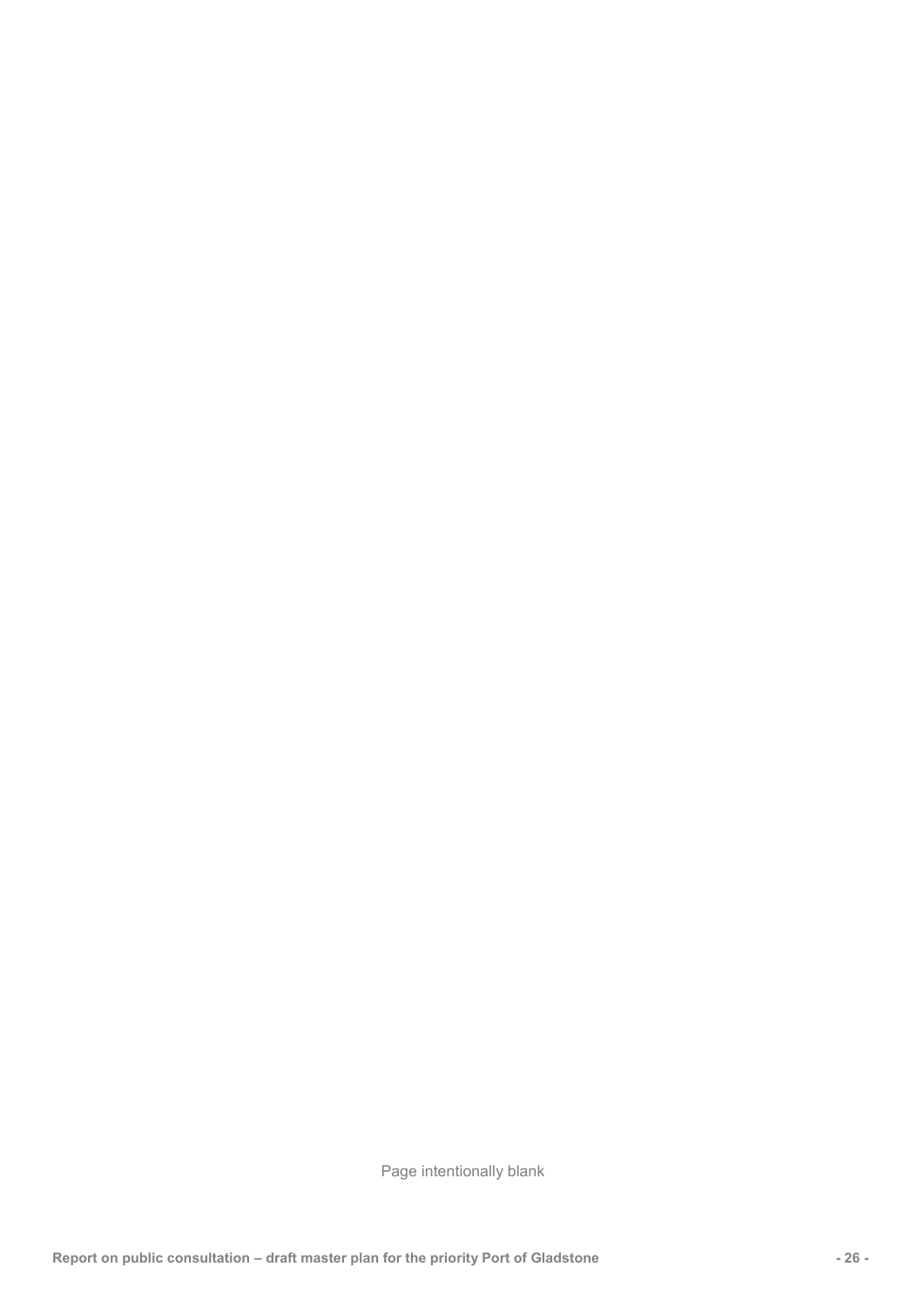Page intentionally blank